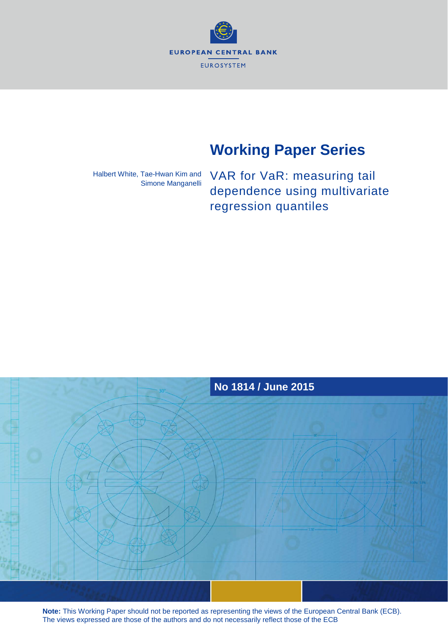**EUROPEAN CENTRAL BANK EUROSYSTEM** 

# **Working Paper Series**

Halbert White, Tae-Hwan Kim and Simone Manganelli

VAR for VaR: measuring tail dependence using multivariate regression quantiles



**Note:** This Working Paper should not be reported as representing the views of the European Central Bank (ECB). The views expressed are those of the authors and do not necessarily reflect those of the ECB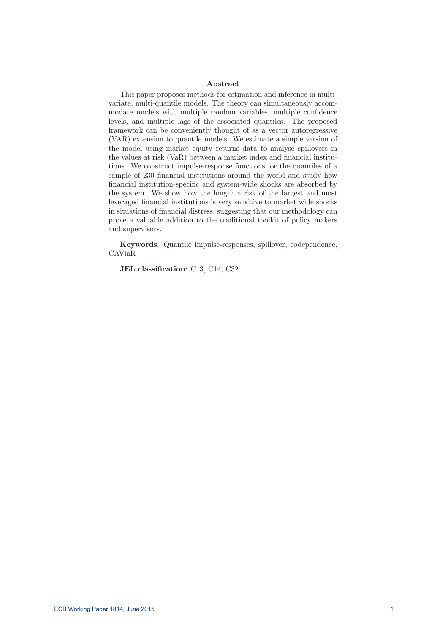### Abstract

This paper proposes methods for estimation and inference in multivariate, multi-quantile models. The theory can simultaneously accommodate models with multiple random variables, multiple confidence levels, and multiple lags of the associated quantiles. The proposed framework can be conveniently thought of as a vector autoregressive (VAR) extension to quantile models. We estimate a simple version of the model using market equity returns data to analyse spillovers in the values at risk  $(VaR)$  between a market index and financial institutions. We construct impulse-response functions for the quantiles of a sample of 230 financial institutions around the world and study how financial institution-specific and system-wide shocks are absorbed by the system. We show how the long-run risk of the largest and most leveraged financial institutions is very sensitive to market wide shocks in situations of nancial distress, suggesting that our methodology can prove a valuable addition to the traditional toolkit of policy makers and supervisors.

Keywords: Quantile impulse-responses, spillover, codependence, CAViaR

JEL classification: C13, C14, C32.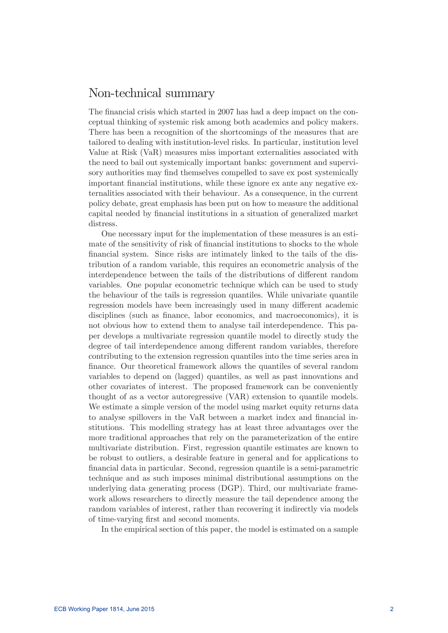## Non-technical summary

The financial crisis which started in 2007 has had a deep impact on the conceptual thinking of systemic risk among both academics and policy makers. There has been a recognition of the shortcomings of the measures that are tailored to dealing with institution-level risks. In particular, institution level Value at Risk (VaR) measures miss important externalities associated with the need to bail out systemically important banks: government and supervisory authorities may find themselves compelled to save ex post systemically important financial institutions, while these ignore ex ante any negative externalities associated with their behaviour. As a consequence, in the current policy debate, great emphasis has been put on how to measure the additional capital needed by financial institutions in a situation of generalized market distress.

One necessary input for the implementation of these measures is an estimate of the sensitivity of risk of nancial institutions to shocks to the whole financial system. Since risks are intimately linked to the tails of the distribution of a random variable, this requires an econometric analysis of the interdependence between the tails of the distributions of different random variables. One popular econometric technique which can be used to study the behaviour of the tails is regression quantiles. While univariate quantile regression models have been increasingly used in many different academic disciplines (such as finance, labor economics, and macroeconomics), it is not obvious how to extend them to analyse tail interdependence. This paper develops a multivariate regression quantile model to directly study the degree of tail interdependence among different random variables, therefore contributing to the extension regression quantiles into the time series area in finance. Our theoretical framework allows the quantiles of several random variables to depend on (lagged) quantiles, as well as past innovations and other covariates of interest. The proposed framework can be conveniently thought of as a vector autoregressive (VAR) extension to quantile models. We estimate a simple version of the model using market equity returns data to analyse spillovers in the VaR between a market index and financial institutions. This modelling strategy has at least three advantages over the more traditional approaches that rely on the parameterization of the entire multivariate distribution. First, regression quantile estimates are known to be robust to outliers, a desirable feature in general and for applications to nancial data in particular. Second, regression quantile is a semi-parametric technique and as such imposes minimal distributional assumptions on the underlying data generating process (DGP). Third, our multivariate framework allows researchers to directly measure the tail dependence among the random variables of interest, rather than recovering it indirectly via models of time-varying first and second moments.

In the empirical section of this paper, the model is estimated on a sample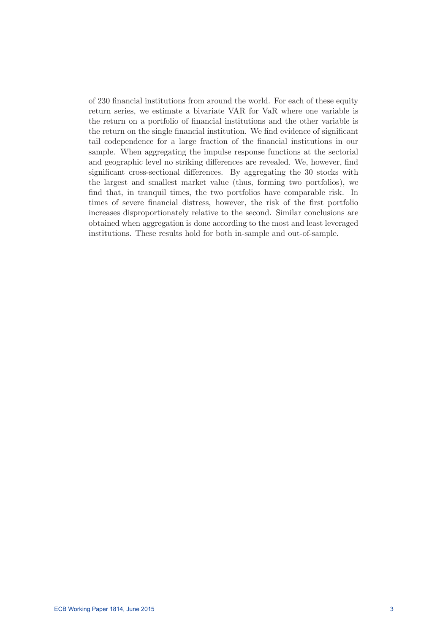of 230 nancial institutions from around the world. For each of these equity return series, we estimate a bivariate VAR for VaR where one variable is the return on a portfolio of nancial institutions and the other variable is the return on the single financial institution. We find evidence of significant tail codependence for a large fraction of the financial institutions in our sample. When aggregating the impulse response functions at the sectorial and geographic level no striking differences are revealed. We, however, find significant cross-sectional differences. By aggregating the 30 stocks with the largest and smallest market value (thus, forming two portfolios), we find that, in tranquil times, the two portfolios have comparable risk. In times of severe financial distress, however, the risk of the first portfolio increases disproportionately relative to the second. Similar conclusions are obtained when aggregation is done according to the most and least leveraged institutions. These results hold for both in-sample and out-of-sample.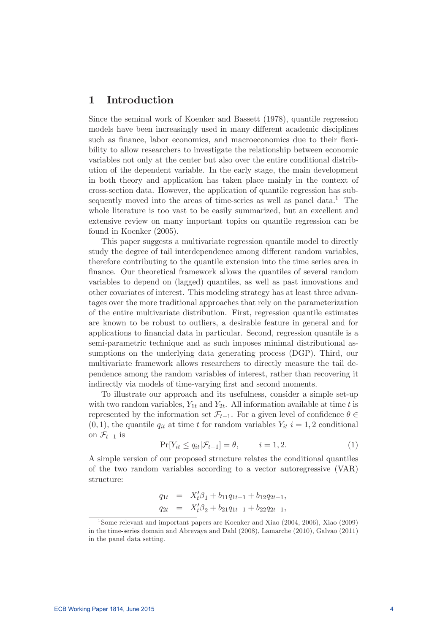## 1 Introduction

Since the seminal work of Koenker and Bassett (1978), quantile regression models have been increasingly used in many different academic disciplines such as finance, labor economics, and macroeconomics due to their flexibility to allow researchers to investigate the relationship between economic variables not only at the center but also over the entire conditional distribution of the dependent variable. In the early stage, the main development in both theory and application has taken place mainly in the context of cross-section data. However, the application of quantile regression has subsequently moved into the areas of time-series as well as panel data.<sup>1</sup> The whole literature is too vast to be easily summarized, but an excellent and extensive review on many important topics on quantile regression can be found in Koenker (2005).

This paper suggests a multivariate regression quantile model to directly study the degree of tail interdependence among different random variables, therefore contributing to the quantile extension into the time series area in finance. Our theoretical framework allows the quantiles of several random variables to depend on (lagged) quantiles, as well as past innovations and other covariates of interest. This modeling strategy has at least three advantages over the more traditional approaches that rely on the parameterization of the entire multivariate distribution. First, regression quantile estimates are known to be robust to outliers, a desirable feature in general and for applications to financial data in particular. Second, regression quantile is a semi-parametric technique and as such imposes minimal distributional assumptions on the underlying data generating process (DGP). Third, our multivariate framework allows researchers to directly measure the tail dependence among the random variables of interest, rather than recovering it indirectly via models of time-varying first and second moments.

To illustrate our approach and its usefulness, consider a simple set-up with two random variables,  $Y_{1t}$  and  $Y_{2t}$ . All information available at time t is represented by the information set  $\mathcal{F}_{t-1}$ . For a given level of confidence  $\theta \in$  $(0, 1)$ , the quantile  $q_{it}$  at time t for random variables  $Y_{it}$  i = 1, 2 conditional on  $\mathcal{F}_{t-1}$  is

$$
\Pr[Y_{it} \le q_{it} | \mathcal{F}_{t-1}] = \theta, \qquad i = 1, 2. \tag{1}
$$

A simple version of our proposed structure relates the conditional quantiles of the two random variables according to a vector autoregressive (VAR) structure:

$$
q_{1t} = X_t'\beta_1 + b_{11}q_{1t-1} + b_{12}q_{2t-1},
$$
  
\n
$$
q_{2t} = X_t'\beta_2 + b_{21}q_{1t-1} + b_{22}q_{2t-1},
$$

<sup>&</sup>lt;sup>1</sup>Some relevant and important papers are Koenker and Xiao (2004, 2006), Xiao (2009) in the time-series domain and Abrevaya and Dahl (2008), Lamarche (2010), Galvao (2011) in the panel data setting.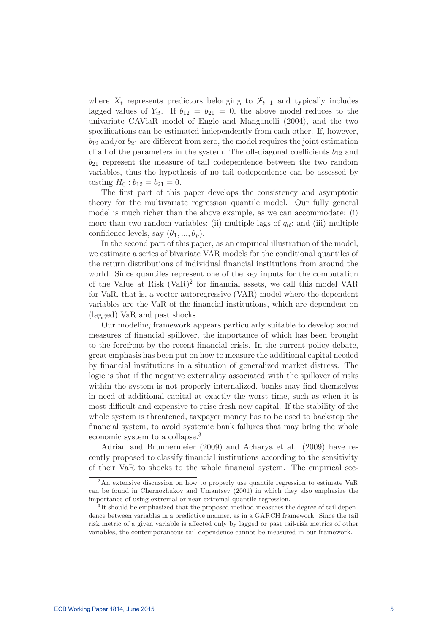where  $X_t$  represents predictors belonging to  $\mathcal{F}_{t-1}$  and typically includes lagged values of  $Y_{it}$ . If  $b_{12} = b_{21} = 0$ , the above model reduces to the univariate CAViaR model of Engle and Manganelli (2004), and the two specifications can be estimated independently from each other. If, however,  $b_{12}$  and/or  $b_{21}$  are different from zero, the model requires the joint estimation of all of the parameters in the system. The off-diagonal coefficients  $b_{12}$  and  $b_{21}$  represent the measure of tail codependence between the two random variables, thus the hypothesis of no tail codependence can be assessed by testing  $H_0 : b_{12} = b_{21} = 0.$ 

The first part of this paper develops the consistency and asymptotic theory for the multivariate regression quantile model. Our fully general model is much richer than the above example, as we can accommodate: (i) more than two random variables; (ii) multiple lags of  $q_{it}$ ; and (iii) multiple confidence levels, say  $(\theta_1, ..., \theta_n)$ .

In the second part of this paper, as an empirical illustration of the model, we estimate a series of bivariate VAR models for the conditional quantiles of the return distributions of individual financial institutions from around the world. Since quantiles represent one of the key inputs for the computation of the Value at Risk  $(VaR)^2$  for financial assets, we call this model VAR for VaR, that is, a vector autoregressive (VAR) model where the dependent variables are the VaR of the financial institutions, which are dependent on (lagged) VaR and past shocks.

Our modeling framework appears particularly suitable to develop sound measures of nancial spillover, the importance of which has been brought to the forefront by the recent nancial crisis. In the current policy debate, great emphasis has been put on how to measure the additional capital needed by financial institutions in a situation of generalized market distress. The logic is that if the negative externality associated with the spillover of risks within the system is not properly internalized, banks may find themselves in need of additional capital at exactly the worst time, such as when it is most difficult and expensive to raise fresh new capital. If the stability of the whole system is threatened, taxpayer money has to be used to backstop the financial system, to avoid systemic bank failures that may bring the whole economic system to a collapse.3

Adrian and Brunnermeier (2009) and Acharya et al. (2009) have recently proposed to classify financial institutions according to the sensitivity of their VaR to shocks to the whole financial system. The empirical sec-

<sup>2</sup>An extensive discussion on how to properly use quantile regression to estimate VaR can be found in Chernozhukov and Umantsev (2001) in which they also emphasize the importance of using extremal or near-extremal quantile regression.

<sup>&</sup>lt;sup>3</sup>It should be emphasized that the proposed method measures the degree of tail dependence between variables in a predictive manner, as in a GARCH framework. Since the tail risk metric of a given variable is affected only by lagged or past tail-risk metrics of other variables, the contemporaneous tail dependence cannot be measured in our framework.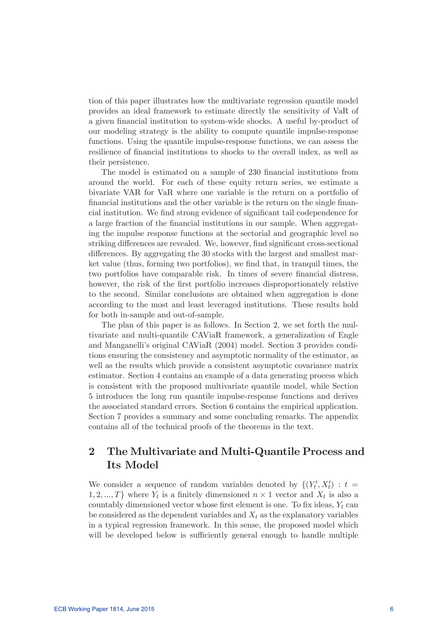tion of this paper illustrates how the multivariate regression quantile model provides an ideal framework to estimate directly the sensitivity of VaR of a given nancial institution to system-wide shocks. A useful by-product of our modeling strategy is the ability to compute quantile impulse-response functions. Using the quantile impulse-response functions, we can assess the resilience of nancial institutions to shocks to the overall index, as well as their persistence.

The model is estimated on a sample of 230 financial institutions from around the world. For each of these equity return series, we estimate a bivariate VAR for VaR where one variable is the return on a portfolio of financial institutions and the other variable is the return on the single financial institution. We find strong evidence of significant tail codependence for a large fraction of the financial institutions in our sample. When aggregating the impulse response functions at the sectorial and geographic level no striking differences are revealed. We, however, find significant cross-sectional differences. By aggregating the 30 stocks with the largest and smallest market value (thus, forming two portfolios), we find that, in tranquil times, the two portfolios have comparable risk. In times of severe financial distress, however, the risk of the first portfolio increases disproportionately relative to the second. Similar conclusions are obtained when aggregation is done according to the most and least leveraged institutions. These results hold for both in-sample and out-of-sample.

The plan of this paper is as follows. In Section 2, we set forth the multivariate and multi-quantile CAViaR framework, a generalization of Engle and Manganelli's original CAViaR (2004) model. Section 3 provides conditions ensuring the consistency and asymptotic normality of the estimator, as well as the results which provide a consistent asymptotic covariance matrix estimator. Section 4 contains an example of a data generating process which is consistent with the proposed multivariate quantile model, while Section 5 introduces the long run quantile impulse-response functions and derives the associated standard errors. Section 6 contains the empirical application. Section 7 provides a summary and some concluding remarks. The appendix contains all of the technical proofs of the theorems in the text.

## 2 The Multivariate and Multi-Quantile Process and Its Model

We consider a sequence of random variables denoted by  $\{(Y'_t, X'_t) : t =$  $1, 2, ..., T$  where  $Y_t$  is a finitely dimensioned  $n \times 1$  vector and  $X_t$  is also a countably dimensioned vector whose first element is one. To fix ideas,  $Y_t$  can be considered as the dependent variables and  $X_t$  as the explanatory variables in a typical regression framework. In this sense, the proposed model which will be developed below is sufficiently general enough to handle multiple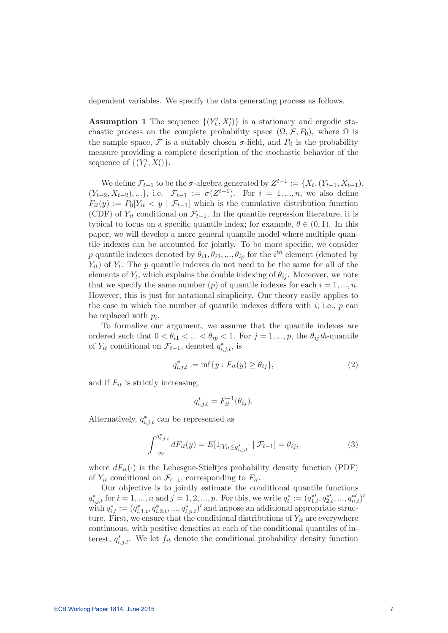dependent variables. We specify the data generating process as follows.

**Assumption 1** The sequence  $\{(Y'_t, X'_t)\}\$ is a stationary and ergodic stochastic process on the complete probability space  $(\Omega, \mathcal{F}, P_0)$ , where  $\Omega$  is the sample space,  $\mathcal F$  is a suitably chosen  $\sigma$ -field, and  $P_0$  is the probability measure providing a complete description of the stochastic behavior of the sequence of  $\{(Y'_t, X'_t)\}.$ 

We define  $\mathcal{F}_{t-1}$  to be the  $\sigma$ -algebra generated by  $Z^{t-1} := \{X_t, (Y_{t-1}, X_{t-1}),\}$  $(Y_{t-2}, X_{t-2}), \ldots\},$  i.e.  $\mathcal{F}_{t-1} := \sigma(Z^{t-1})$ . For  $i = 1, \ldots, n$ , we also define  $F_{it}(y) := P_0[Y_{it} < y \mid \mathcal{F}_{t-1}]$  which is the cumulative distribution function (CDF) of  $Y_{it}$  conditional on  $\mathcal{F}_{t-1}$ . In the quantile regression literature, it is typical to focus on a specific quantile index; for example,  $\theta \in (0, 1)$ . In this paper, we will develop a more general quantile model where multiple quantile indexes can be accounted for jointly. To be more specific, we consider p quantile indexes denoted by  $\theta_{i1}, \theta_{i2}, ..., \theta_{ip}$  for the  $i^{th}$  element (denoted by  $\langle Y_{it} \rangle$  of  $Y_t$ . The p quantile indexes do not need to be the same for all of the elements of  $Y_t$ , which explains the double indexing of  $\theta_{ij}$ . Moreover, we note that we specify the same number (p) of quantile indexes for each  $i = 1, ..., n$ . However, this is just for notational simplicity. Our theory easily applies to the case in which the number of quantile indexes differs with  $i$ ; i.e.,  $p$  can be replaced with  $p_i$ .

To formalize our argument, we assume that the quantile indexes are ordered such that  $0 < \theta_{i1} < ... < \theta_{ip} < 1$ . For  $j = 1, ..., p$ , the  $\theta_{ij}$ th-quantile of  $Y_{it}$  conditional on  $\mathcal{F}_{t-1}$ , denoted  $q_{i,j,t}^*$ , is

$$
q_{i,j,t}^* := \inf\{y : F_{it}(y) \ge \theta_{ij}\},\tag{2}
$$

and if  $F_{it}$  is strictly increasing,

$$
q_{i,j,t}^* = F_{it}^{-1}(\theta_{ij}).
$$

Alternatively,  $q_{i,j,t}^*$  can be represented as

$$
\int_{-\infty}^{q_{i,j,t}^*} dF_{it}(y) = E[1_{[Y_{it} \le q_{i,j,t}^*]} | \mathcal{F}_{t-1}] = \theta_{ij},
$$
\n(3)

where  $dF_{it}(\cdot)$  is the Lebesgue-Stieltjes probability density function (PDF) of  $Y_{it}$  conditional on  $\mathcal{F}_{t-1}$ , corresponding to  $F_{it}$ .

Our objective is to jointly estimate the conditional quantile functions  $q_{i,j,t}^*$  for  $i = 1, ..., n$  and  $j = 1, 2, ..., p$ . For this, we write  $q_t^* := (q_{1,t}^{*t}, q_{2,t}^{*t}, ..., q_{n,t}^{*t})'$ with  $q_{i,t}^* := (q_{i,1,t}^*, q_{i,2,t}^*, ..., q_{i,p,t}^*)'$  and impose an additional appropriate structure. First, we ensure that the conditional distributions of  $Y_{it}$  are everywhere continuous, with positive densities at each of the conditional quantiles of interest,  $q_{i,j,t}^*$ . We let  $f_{it}$  denote the conditional probability density function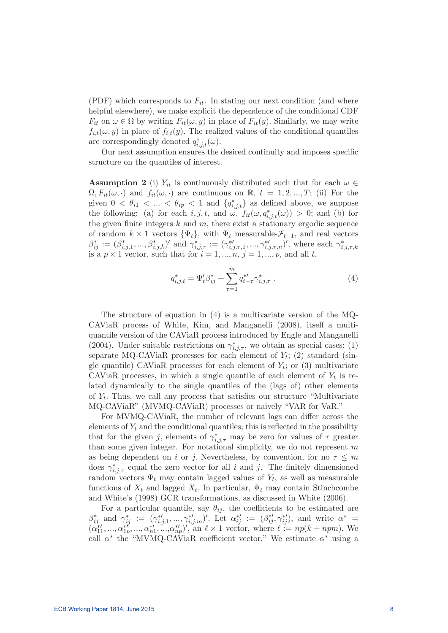(PDF) which corresponds to  $F_{it}$ . In stating our next condition (and where helpful elsewhere), we make explicit the dependence of the conditional CDF  $F_{it}$  on  $\omega \in \Omega$  by writing  $F_{it}(\omega, y)$  in place of  $F_{it}(y)$ . Similarly, we may write  $f_{i,t}(\omega, y)$  in place of  $f_{i,t}(y)$ . The realized values of the conditional quantiles are correspondingly denoted  $q_{i,j,t}^*(\omega)$ .

Our next assumption ensures the desired continuity and imposes specific structure on the quantiles of interest.

**Assumption 2** (i)  $Y_{it}$  is continuously distributed such that for each  $\omega \in$  $\Omega, F_{it}(\omega, \cdot)$  and  $f_{it}(\omega, \cdot)$  are continuous on R,  $t = 1, 2, ..., T$ ; (ii) For the given  $0 < \theta_{i1} < ... < \theta_{ip} < 1$  and  $\{q_{i,j,t}^*\}$  as defined above, we suppose the following: (a) for each  $i, j, t$ , and  $\omega$ ,  $f_{it}(\omega, q_{i,j,t}^*(\omega)) > 0$ ; and (b) for the given finite integers  $k$  and  $m$ , there exist a stationary ergodic sequence of random  $k \times 1$  vectors  $\{\Psi_t\}$ , with  $\Psi_t$  measurable- $\mathcal{F}_{t-1}$ , and real vectors  $\beta_{ij}^* := (\beta_{i,j,1}^*, ..., \beta_{i,j,k}^*)'$  and  $\gamma_{i,j,\tau}^* := (\gamma_{i,j,\tau,1}^{*}, ..., \gamma_{i,j,\tau,n}^{*}/',$  where each  $\gamma_{i,j,\tau,k}^*$ is a  $p \times 1$  vector, such that for  $i = 1, ..., n, j = 1, ..., p$ , and all t,

$$
q_{i,j,t}^* = \Psi_t' \beta_{ij}^* + \sum_{\tau=1}^m q_{t-\tau}^{* \prime} \gamma_{i,j,\tau}^* \ . \tag{4}
$$

The structure of equation in (4) is a multivariate version of the MQ-CAViaR process of White, Kim, and Manganelli (2008), itself a multiquantile version of the CAViaR process introduced by Engle and Manganelli (2004). Under suitable restrictions on  $\gamma^*_{i,j,\tau}$ , we obtain as special cases; (1) separate MQ-CAViaR processes for each element of  $Y_t$ ; (2) standard (single quantile) CAViaR processes for each element of  $Y_t$ ; or (3) multivariate CAViaR processes, in which a single quantile of each element of  $Y_t$  is related dynamically to the single quantiles of the (lags of) other elements of  $Y_t$ . Thus, we call any process that satisfies our structure "Multivariate" MQ-CAViaR" (MVMQ-CAViaR) processes or naively "VAR for VaR."

For MVMQ-CAViaR, the number of relevant lags can differ across the elements of  $Y_t$  and the conditional quantiles; this is reflected in the possibility that for the given j, elements of  $\gamma^*_{i,j,\tau}$  may be zero for values of  $\tau$  greater than some given integer. For notational simplicity, we do not represent  $m$ as being dependent on i or j. Nevertheless, by convention, for no  $\tau \leq m$ does  $\gamma^*_{i,j,\tau}$  equal the zero vector for all i and j. The finitely dimensioned random vectors  $\Psi_t$  may contain lagged values of  $Y_t$ , as well as measurable functions of  $X_t$  and lagged  $X_t$ . In particular,  $\Psi_t$  may contain Stinchcombe and White's (1998) GCR transformations, as discussed in White (2006).

For a particular quantile, say  $\theta_{ij}$ , the coefficients to be estimated are  $\beta_{ij}^*$  and  $\gamma_{ij}^* := (\gamma_{i,j,1}^{*},...,\gamma_{i,j,m}^{*})'$ . Let  $\alpha_{ij}^{*'} := (\beta_{ij}^{*}, \gamma_{ij}^{*})$ , and write  $\alpha^* =$  $(\alpha_{11}^{*\prime},...,\alpha_{1p}^{*\prime},...,\alpha_{n1}^{*\prime},...,\alpha_{np}^{*\prime})'$ , an  $\ell \times 1$  vector, where  $\ell := np(k + npm)$ . We call  $\alpha^*$  the "MVMQ-CAViaR coefficient vector." We estimate  $\alpha^*$  using a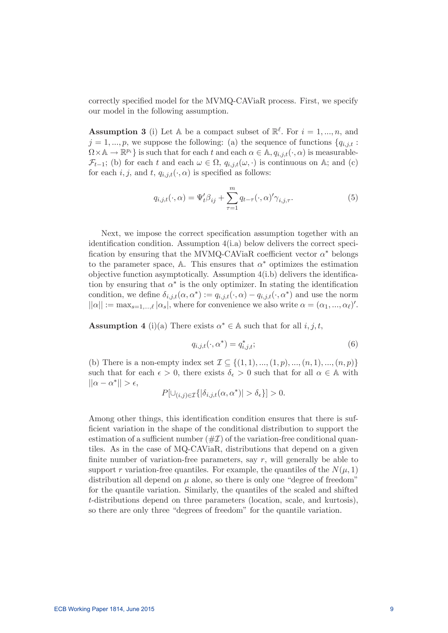correctly specified model for the MVMQ-CAViaR process. First, we specify our model in the following assumption.

**Assumption 3** (i) Let A be a compact subset of  $\mathbb{R}^{\ell}$ . For  $i = 1, ..., n$ , and  $j = 1, ..., p$ , we suppose the following: (a) the sequence of functions  ${q_{i,j,t}}$ :  $\Omega \times \mathbb{A} \to \mathbb{R}^{p_i}$  is such that for each t and each  $\alpha \in \mathbb{A}$ ,  $q_{i,j,t}(\cdot, \alpha)$  is measurable- $\mathcal{F}_{t-1}$ ; (b) for each t and each  $\omega \in \Omega$ ,  $q_{i,j,t}(\omega, \cdot)$  is continuous on A; and (c) for each i, j, and t,  $q_{i,j,t}(\cdot,\alpha)$  is specified as follows:

$$
q_{i,j,t}(\cdot,\alpha) = \Psi'_t \beta_{ij} + \sum_{\tau=1}^m q_{t-\tau}(\cdot,\alpha)' \gamma_{i,j,\tau}.
$$
 (5)

Next, we impose the correct specification assumption together with an identification condition. Assumption  $4(i.a)$  below delivers the correct specification by ensuring that the MVMQ-CAViaR coefficient vector  $\alpha^*$  belongs to the parameter space, A. This ensures that  $\alpha^*$  optimizes the estimation objective function asymptotically. Assumption  $4(i.b)$  delivers the identification by ensuring that  $\alpha^*$  is the only optimizer. In stating the identification condition, we define  $\delta_{i,j,t}(\alpha, \alpha^*) := q_{i,j,t}(\cdot, \alpha) - q_{i,j,t}(\cdot, \alpha^*)$  and use the norm  $||\alpha|| := \max_{s=1,\dots,\ell} |\alpha_s|$ , where for convenience we also write  $\alpha = (\alpha_1, \dots, \alpha_\ell)'$ .

**Assumption 4** (i)(a) There exists  $\alpha^* \in A$  such that for all i, j, t,

$$
q_{i,j,t}(\cdot,\alpha^*) = q_{i,j,t}^*;
$$
\n<sup>(6)</sup>

(b) There is a non-empty index set  $\mathcal{I} \subseteq \{(1, 1), ..., (1, p), ..., (n, 1), ..., (n, p)\}$ such that for each  $\epsilon > 0$ , there exists  $\delta_{\epsilon} > 0$  such that for all  $\alpha \in A$  with  $||\alpha - \alpha^*|| > \epsilon,$ 

$$
P[\cup_{(i,j)\in\mathcal{I}}\{|\delta_{i,j,t}(\alpha,\alpha^*)|>\delta_{\epsilon}\}] > 0.
$$

Among other things, this identification condition ensures that there is sufficient variation in the shape of the conditional distribution to support the estimation of a sufficient number  $(\#\mathcal{I})$  of the variation-free conditional quantiles. As in the case of MQ-CAViaR, distributions that depend on a given finite number of variation-free parameters, say  $r$ , will generally be able to support r variation-free quantiles. For example, the quantiles of the  $N(\mu, 1)$ distribution all depend on  $\mu$  alone, so there is only one "degree of freedom" for the quantile variation. Similarly, the quantiles of the scaled and shifted t-distributions depend on three parameters (location, scale, and kurtosis), so there are only three "degrees of freedom" for the quantile variation.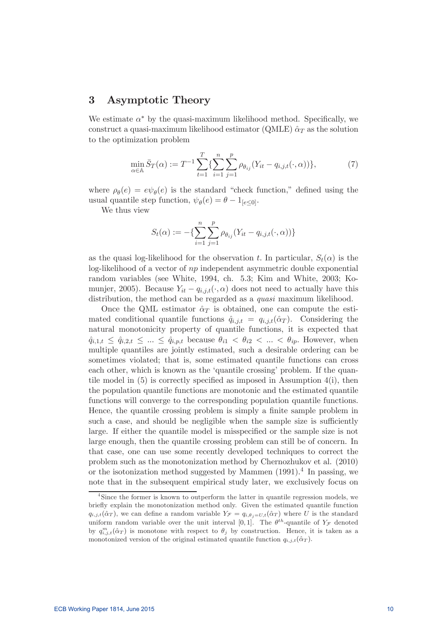## 3 Asymptotic Theory

We estimate  $\alpha^*$  by the quasi-maximum likelihood method. Specifically, we construct a quasi-maximum likelihood estimator (QMLE)  $\hat{\alpha}_T$  as the solution to the optimization problem

$$
\min_{\alpha \in \mathbb{A}} \bar{S}_T(\alpha) := T^{-1} \sum_{t=1}^T \{ \sum_{i=1}^n \sum_{j=1}^p \rho_{\theta_{ij}} (Y_{it} - q_{i,j,t}(\cdot, \alpha)) \},\tag{7}
$$

where  $\rho_{\theta}(e) = e\psi_{\theta}(e)$  is the standard "check function," defined using the usual quantile step function,  $\psi_{\theta}(e) = \theta - 1_{[e \le 0]}.$ 

We thus view

$$
S_t(\alpha) := -\{\sum_{i=1}^n \sum_{j=1}^p \rho_{\theta_{ij}} (Y_{it} - q_{i,j,t}(\cdot, \alpha))\}
$$

as the quasi log-likelihood for the observation t. In particular,  $S_t(\alpha)$  is the  $log$ -likelihood of a vector of  $np$  independent asymmetric double exponential random variables (see White, 1994, ch. 5.3; Kim and White, 2003; Komunjer, 2005). Because  $Y_{it} - q_{i,j,t}(\cdot, \alpha)$  does not need to actually have this distribution, the method can be regarded as a *quasi* maximum likelihood.

Once the QML estimator  $\hat{\alpha}_T$  is obtained, one can compute the estimated conditional quantile functions  $\hat{q}_{i,j,t} = q_{i,j,t}(\hat{\alpha}_T)$ . Considering the natural monotonicity property of quantile functions, it is expected that  $\hat{q}_{i,1,t} \leq \hat{q}_{i,2,t} \leq ... \leq \hat{q}_{i,p,t}$  because  $\theta_{i1} < \theta_{i2} < ... < \theta_{ip}$ . However, when multiple quantiles are jointly estimated, such a desirable ordering can be sometimes violated; that is, some estimated quantile functions can cross each other, which is known as the 'quantile crossing' problem. If the quantile model in  $(5)$  is correctly specified as imposed in Assumption  $4(i)$ , then the population quantile functions are monotonic and the estimated quantile functions will converge to the corresponding population quantile functions. Hence, the quantile crossing problem is simply a finite sample problem in such a case, and should be negligible when the sample size is sufficiently large. If either the quantile model is misspecified or the sample size is not large enough, then the quantile crossing problem can still be of concern. In that case, one can use some recently developed techniques to correct the problem such as the monotonization method by Chernozhukov et al. (2010) or the isotonization method suggested by Mammen  $(1991).<sup>4</sup>$  In passing, we note that in the subsequent empirical study later, we exclusively focus on

<sup>&</sup>lt;sup>4</sup>Since the former is known to outperform the latter in quantile regression models, we briefly explain the monotonization method only. Given the estimated quantile function  $q_{i,j,t}(\hat{\alpha}_T)$ , we can define a random variable  $Y_{\mathcal{F}} = q_{i,\theta_j=U,t}(\hat{\alpha}_T)$  where U is the standard uniform random variable over the unit interval [0,1]. The  $\theta^{th}$ -quantile of  $Y_{\mathcal{F}}$  denoted by  $q_{i,j,t}^m(\hat{\alpha}_T)$  is monotone with respect to  $\theta_j$  by construction. Hence, it is taken as a monotonized version of the original estimated quantile function  $q_{i,j,t}(\hat{\alpha}_T)$ .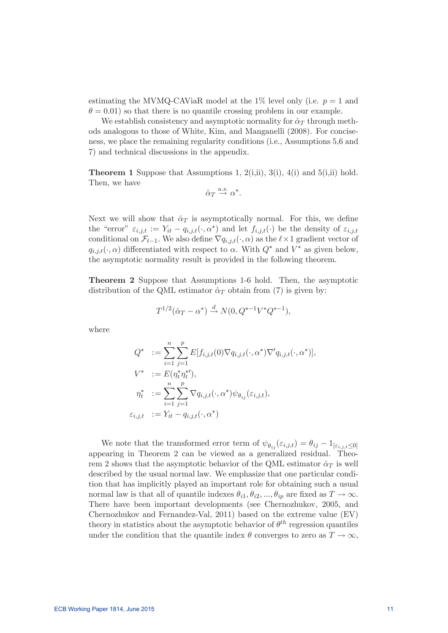estimating the MVMQ-CAViaR model at the 1% level only (i.e.  $p = 1$  and  $\theta = 0.01$ ) so that there is no quantile crossing problem in our example.

We establish consistency and asymptotic normality for  $\hat{\alpha}_T$  through methods analogous to those of White, Kim, and Manganelli (2008). For conciseness, we place the remaining regularity conditions (i.e., Assumptions 5,6 and 7) and technical discussions in the appendix.

**Theorem 1** Suppose that Assumptions 1,  $2(i,ii)$ ,  $3(i)$ ,  $4(i)$  and  $5(i,ii)$  hold. Then, we have

$$
\hat{\alpha}_T \stackrel{a.s.}{\rightarrow} \alpha^*.
$$

Next we will show that  $\hat{\alpha}_T$  is asymptotically normal. For this, we define the "error"  $\varepsilon_{i,j,t} := Y_{it} - q_{i,j,t}(\cdot, \alpha^*)$  and let  $f_{i,j,t}(\cdot)$  be the density of  $\varepsilon_{i,j,t}$ conditional on  $\mathcal{F}_{t-1}$ . We also define  $\nabla q_{i,j,t}(\cdot, \alpha)$  as the  $\ell \times 1$  gradient vector of  $q_{i,j,t}(\cdot,\alpha)$  differentiated with respect to  $\alpha$ . With  $Q^*$  and  $V^*$  as given below, the asymptotic normality result is provided in the following theorem.

Theorem 2 Suppose that Assumptions 1-6 hold. Then, the asymptotic distribution of the QML estimator  $\hat{\alpha}_T$  obtain from (7) is given by:

$$
T^{1/2}(\hat{\alpha}_T - \alpha^*) \xrightarrow{d} N(0, Q^{*-1}V^*Q^{*-1}),
$$

where

$$
Q^* := \sum_{i=1}^n \sum_{j=1}^p E[f_{i,j,t}(0) \nabla q_{i,j,t}(\cdot, \alpha^*) \nabla' q_{i,j,t}(\cdot, \alpha^*)],
$$
  
\n
$$
V^* := E(\eta_t^* \eta_t^{*\prime}),
$$
  
\n
$$
\eta_t^* := \sum_{i=1}^n \sum_{j=1}^p \nabla q_{i,j,t}(\cdot, \alpha^*) \psi_{\theta_{ij}}(\varepsilon_{i,j,t}),
$$
  
\n
$$
\varepsilon_{i,j,t} := Y_{it} - q_{i,j,t}(\cdot, \alpha^*)
$$

We note that the transformed error term of  $\psi_{\theta_{ij}}(\varepsilon_{i,j,t}) = \theta_{ij} - 1_{[\varepsilon_{i,j,t} \leq 0]}$ appearing in Theorem 2 can be viewed as a generalized residual. Theorem 2 shows that the asymptotic behavior of the QML estimator  $\hat{\alpha}_T$  is well described by the usual normal law. We emphasize that one particular condition that has implicitly played an important role for obtaining such a usual normal law is that all of quantile indexes  $\theta_{i1}, \theta_{i2}, ..., \theta_{ip}$  are fixed as  $T \to \infty$ . There have been important developments (see Chernozhukov, 2005, and Chernozhukov and Fernandez-Val, 2011) based on the extreme value (EV) theory in statistics about the asymptotic behavior of  $\theta^{th}$  regression quantiles under the condition that the quantile index  $\theta$  converges to zero as  $T \to \infty$ ,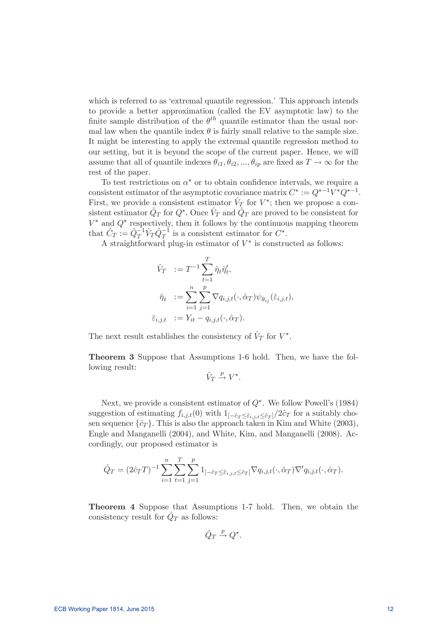which is referred to as 'extremal quantile regression.' This approach intends to provide a better approximation (called the EV asymptotic law) to the finite sample distribution of the  $\theta^{th}$  quantile estimator than the usual normal law when the quantile index  $\theta$  is fairly small relative to the sample size. It might be interesting to apply the extremal quantile regression method to our setting, but it is beyond the scope of the current paper. Hence, we will assume that all of quantile indexes  $\theta_{i1}, \theta_{i2}, ..., \theta_{ip}$  are fixed as  $T \to \infty$  for the rest of the paper.

To test restrictions on  $\alpha^*$  or to obtain confidence intervals, we require a consistent estimator of the asymptotic covariance matrix  $C^* := Q^{*-1}V^*Q^{*-1}$ First, we provide a consistent estimator  $V_T$  for  $V^*$ ; then we propose a consistent estimator  $\hat{Q}_T$  for  $Q^*$ . Once  $\hat{V}_T$  and  $\hat{Q}_T$  are proved to be consistent for  $V^*$  and  $Q^*$  respectively, then it follows by the continuous mapping theorem that  $\hat{C}_T := \hat{Q}_T^{-1} \hat{V}_T \hat{Q}_T^{-1}$  is a consistent estimator for  $C^*$ .

A straightforward plug-in estimator of  $V^*$  is constructed as follows:

$$
\hat{V}_T := T^{-1} \sum_{t=1}^T \hat{\eta}_t \hat{\eta}'_t,
$$
  

$$
\hat{\eta}_t := \sum_{i=1}^n \sum_{j=1}^p \nabla q_{i,j,t}(\cdot, \hat{\alpha}_T) \psi_{\theta_{ij}}(\hat{\varepsilon}_{i,j,t}),
$$
  

$$
\hat{\varepsilon}_{i,j,t} := Y_{it} - q_{i,j,t}(\cdot, \hat{\alpha}_T).
$$

The next result establishes the consistency of  $V_T$  for  $V^*$ .

Theorem 3 Suppose that Assumptions 1-6 hold. Then, we have the following result:

$$
\hat{V}_T \xrightarrow{p} V^*.
$$

Next, we provide a consistent estimator of  $Q^*$ . We follow Powell's (1984) suggestion of estimating  $f_{i,j,t}(0)$  with  $1_{[-\hat{c}_T \leq \hat{\varepsilon}_{i,j,t} \leq \hat{c}_T]}/2\hat{c}_T$  for a suitably chosen sequence  $\{\hat{c}_T\}$ . This is also the approach taken in Kim and White (2003), Engle and Manganelli (2004), and White, Kim, and Manganelli (2008). Accordingly, our proposed estimator is

$$
\hat{Q}_T = (2\hat{c}_TT)^{-1} \sum_{i=1}^n \sum_{t=1}^T \sum_{j=1}^p 1_{[-\hat{c}_T \leq \hat{\varepsilon}_{i,j,t} \leq \hat{c}_T]} \nabla q_{i,j,t}(\cdot, \hat{\alpha}_T) \nabla' q_{i,j,t}(\cdot, \hat{\alpha}_T).
$$

Theorem 4 Suppose that Assumptions 1-7 hold. Then, we obtain the consistency result for  $\hat{Q}_T$  as follows:

$$
\hat{Q}_T \stackrel{p}{\rightarrow} Q^*.
$$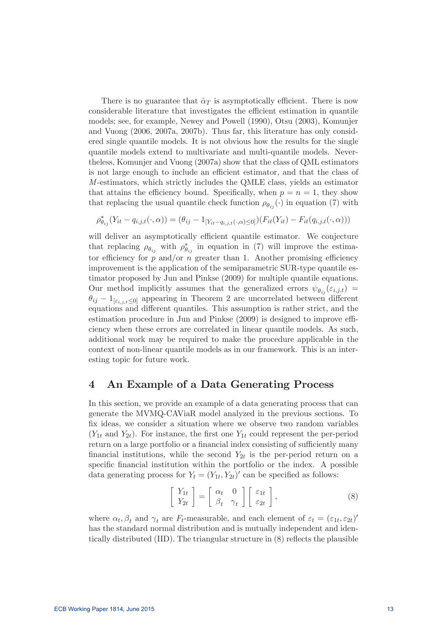There is no guarantee that  $\hat{\alpha}_T$  is asymptotically efficient. There is now considerable literature that investigates the efficient estimation in quantile models; see, for example, Newey and Powell (1990), Otsu (2003), Komunjer and Vuong (2006, 2007a, 2007b). Thus far, this literature has only considered single quantile models. It is not obvious how the results for the single quantile models extend to multivariate and multi-quantile models. Nevertheless, Komunjer and Vuong (2007a) show that the class of QML estimators is not large enough to include an efficient estimator, and that the class of M -estimators, which strictly includes the QMLE class, yields an estimator that attains the efficiency bound. Specifically, when  $p = n = 1$ , they show that replacing the usual quantile check function  $\rho_{\theta_{ij}}(\cdot)$  in equation (7) with

$$
\rho_{\theta_{ij}}^*(Y_{it} - q_{i,j,t}(\cdot, \alpha)) = (\theta_{ij} - 1_{[Y_{it} - q_{i,j,t}(\cdot, \alpha) \le 0]})(F_{it}(Y_{it}) - F_{it}(q_{i,j,t}(\cdot, \alpha)))
$$

will deliver an asymptotically efficient quantile estimator. We conjecture that replacing  $\rho_{\theta_{ij}}$  with  $\rho_{\theta_{ij}}^*$  in equation in (7) will improve the estimator efficiency for  $p$  and/or  $n$  greater than 1. Another promising efficiency improvement is the application of the semiparametric SUR-type quantile estimator proposed by Jun and Pinkse (2009) for multiple quantile equations. Our method implicitly assumes that the generalized errors  $\psi_{\theta_{ij}}(\varepsilon_{i,j,t}) =$  $\theta_{ij}$  –  $1_{\left[\varepsilon_{i,j,t}\leq0\right]}$  appearing in Theorem 2 are uncorrelated between different equations and different quantiles. This assumption is rather strict, and the estimation procedure in Jun and Pinkse  $(2009)$  is designed to improve efficiency when these errors are correlated in linear quantile models. As such, additional work may be required to make the procedure applicable in the context of non-linear quantile models as in our framework. This is an interesting topic for future work.

## 4 An Example of a Data Generating Process

In this section, we provide an example of a data generating process that can generate the MVMQ-CAViaR model analyzed in the previous sections. To x ideas, we consider a situation where we observe two random variables  $(Y_{1t}$  and  $Y_{2t})$ . For instance, the first one  $Y_{1t}$  could represent the per-period return on a large portfolio or a financial index consisting of sufficiently many financial institutions, while the second  $Y_{2t}$  is the per-period return on a specific financial institution within the portfolio or the index. A possible data generating process for  $Y_t = (Y_{1t}, Y_{2t})'$  can be specified as follows:

$$
\left[\begin{array}{c} Y_{1t} \\ Y_{2t} \end{array}\right] = \left[\begin{array}{cc} \alpha_t & 0 \\ \beta_t & \gamma_t \end{array}\right] \left[\begin{array}{c} \varepsilon_{1t} \\ \varepsilon_{2t} \end{array}\right],\tag{8}
$$

where  $\alpha_t, \beta_t$  and  $\gamma_t$  are  $F_t$ -measurable, and each element of  $\varepsilon_t = (\varepsilon_{1t}, \varepsilon_{2t})'$ has the standard normal distribution and is mutually independent and identically distributed  $(III)$ . The triangular structure in  $(8)$  reflects the plausible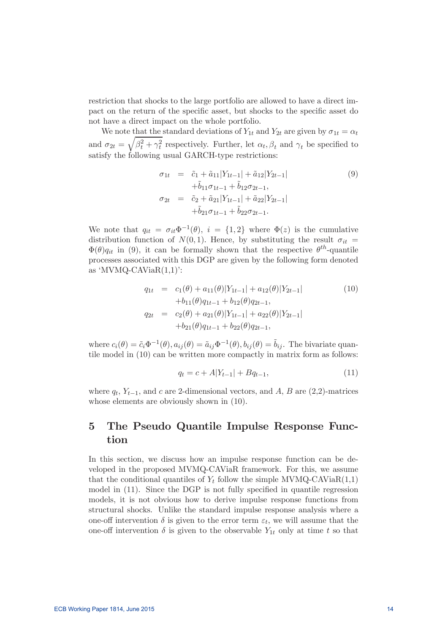restriction that shocks to the large portfolio are allowed to have a direct impact on the return of the specific asset, but shocks to the specific asset do not have a direct impact on the whole portfolio.

We note that the standard deviations of  $Y_{1t}$  and  $Y_{2t}$  are given by  $\sigma_{1t} = \alpha_t$ and  $\sigma_{2t} = \sqrt{\beta_t^2 + \gamma_t^2}$  respectively. Further, let  $\alpha_t, \beta_t$  and  $\gamma_t$  be specified to satisfy the following usual GARCH-type restrictions:

$$
\sigma_{1t} = \tilde{c}_1 + \tilde{a}_{11}|Y_{1t-1}| + \tilde{a}_{12}|Y_{2t-1}| \n+ \tilde{b}_{11}\sigma_{1t-1} + \tilde{b}_{12}\sigma_{2t-1}, \n\sigma_{2t} = \tilde{c}_2 + \tilde{a}_{21}|Y_{1t-1}| + \tilde{a}_{22}|Y_{2t-1}| \n+ \tilde{b}_{21}\sigma_{1t-1} + \tilde{b}_{22}\sigma_{2t-1}.
$$
\n(9)

We note that  $q_{it} = \sigma_{it} \Phi^{-1}(\theta), i = \{1, 2\}$  where  $\Phi(z)$  is the cumulative distribution function of  $N(0, 1)$ . Hence, by substituting the result  $\sigma_{it}$  =  $\Phi(\theta)q_{it}$  in (9), it can be formally shown that the respective  $\theta^{th}$ -quantile processes associated with this DGP are given by the following form denoted as 'MVMQ-CAVia $R(1,1)$ ':

$$
q_{1t} = c_1(\theta) + a_{11}(\theta)|Y_{1t-1}| + a_{12}(\theta)|Y_{2t-1}|
$$
  
\n
$$
+b_{11}(\theta)q_{1t-1} + b_{12}(\theta)q_{2t-1},
$$
  
\n
$$
q_{2t} = c_2(\theta) + a_{21}(\theta)|Y_{1t-1}| + a_{22}(\theta)|Y_{2t-1}|
$$
  
\n
$$
+b_{21}(\theta)q_{1t-1} + b_{22}(\theta)q_{2t-1},
$$
\n(10)

where  $c_i(\theta)=\tilde{c}_i\Phi^{-1}(\theta), a_{ij}(\theta)=\tilde{a}_{ij}\Phi^{-1}(\theta), b_{ij}(\theta)=\tilde{b}_{ij}$ . The bivariate quantile model in (10) can be written more compactly in matrix form as follows:

$$
q_t = c + A|Y_{t-1}| + Bq_{t-1}, \tag{11}
$$

where  $q_t$ ,  $Y_{t-1}$ , and c are 2-dimensional vectors, and A, B are (2,2)-matrices whose elements are obviously shown in (10).

## 5 The Pseudo Quantile Impulse Response Function

In this section, we discuss how an impulse response function can be developed in the proposed MVMQ-CAViaR framework. For this, we assume that the conditional quantiles of  $Y_t$  follow the simple MVMQ-CAViaR(1,1) model in  $(11)$ . Since the DGP is not fully specified in quantile regression models, it is not obvious how to derive impulse response functions from structural shocks. Unlike the standard impulse response analysis where a one-off intervention  $\delta$  is given to the error term  $\varepsilon_t$ , we will assume that the one-off intervention  $\delta$  is given to the observable  $Y_{1t}$  only at time t so that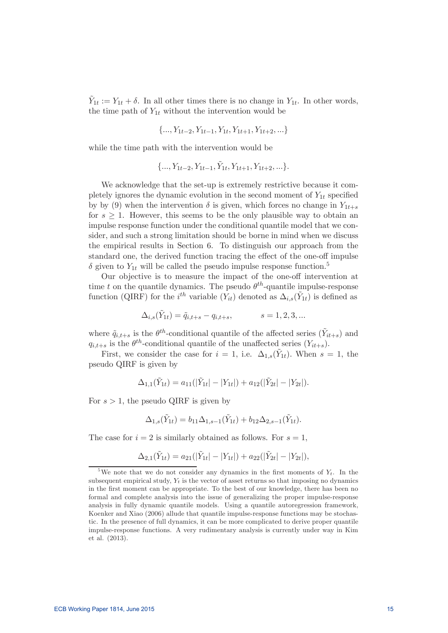$Y_{1t} := Y_{1t} + \delta$ . In all other times there is no change in  $Y_{1t}$ . In other words, the time path of  $Y_{1t}$  without the intervention would be

$$
\{..., Y_{1t-2}, Y_{1t-1}, Y_{1t}, Y_{1t+1}, Y_{1t+2}, ...\}
$$

while the time path with the intervention would be

$$
\{\ldots, Y_{1t-2}, Y_{1t-1}, \tilde{Y}_{1t}, Y_{1t+1}, Y_{1t+2}, \ldots\}.
$$

We acknowledge that the set-up is extremely restrictive because it completely ignores the dynamic evolution in the second moment of  $Y_{1t}$  specified by by (9) when the intervention  $\delta$  is given, which forces no change in  $Y_{1t+s}$ for  $s \geq 1$ . However, this seems to be the only plausible way to obtain an impulse response function under the conditional quantile model that we consider, and such a strong limitation should be borne in mind when we discuss the empirical results in Section 6. To distinguish our approach from the standard one, the derived function tracing the effect of the one-off impulse  $\delta$  given to  $Y_{1t}$  will be called the pseudo impulse response function.<sup>5</sup>

Our objective is to measure the impact of the one-off intervention at time t on the quantile dynamics. The pseudo  $\theta^{th}$ -quantile impulse-response function (QIRF) for the *i*<sup>th</sup> variable  $(Y_{it})$  denoted as  $\Delta_{i,s}(\tilde{Y}_{1t})$  is defined as

$$
\Delta_{i,s}(\tilde{Y}_{1t}) = \tilde{q}_{i,t+s} - q_{i,t+s}, \qquad s = 1, 2, 3, ...
$$

where  $\tilde{q}_{i,t+s}$  is the  $\theta^{th}$ -conditional quantile of the affected series  $(\tilde{Y}_{it+s})$  and  $q_{i,t+s}$  is the  $\theta^{th}$ -conditional quantile of the unaffected series  $(Y_{it+s})$ .

First, we consider the case for  $i = 1$ , i.e.  $\Delta_{1,s}(\tilde{Y}_{1t})$ . When  $s = 1$ , the pseudo QIRF is given by

$$
\Delta_{1,1}(\tilde{Y}_{1t}) = a_{11}(|\tilde{Y}_{1t}|-|Y_{1t}|) + a_{12}(|\tilde{Y}_{2t}|-|Y_{2t}|).
$$

For  $s > 1$ , the pseudo QIRF is given by

$$
\Delta_{1,s}(\tilde{Y}_{1t}) = b_{11}\Delta_{1,s-1}(\tilde{Y}_{1t}) + b_{12}\Delta_{2,s-1}(\tilde{Y}_{1t}).
$$

The case for  $i = 2$  is similarly obtained as follows. For  $s = 1$ ,

$$
\Delta_{2,1}(\tilde{Y}_{1t}) = a_{21}(|\tilde{Y}_{1t}|-|Y_{1t}|) + a_{22}(|\tilde{Y}_{2t}|-|Y_{2t}|),
$$

<sup>&</sup>lt;sup>5</sup>We note that we do not consider any dynamics in the first moments of  $Y_t$ . In the subsequent empirical study,  $Y_t$  is the vector of asset returns so that imposing no dynamics in the first moment can be appropriate. To the best of our knowledge, there has been no formal and complete analysis into the issue of generalizing the proper impulse-response analysis in fully dynamic quantile models. Using a quantile autoregression framework, Koenker and Xiao (2006) allude that quantile impulse-response functions may be stochastic. In the presence of full dynamics, it can be more complicated to derive proper quantile impulse-response functions. A very rudimentary analysis is currently under way in Kim et al. (2013).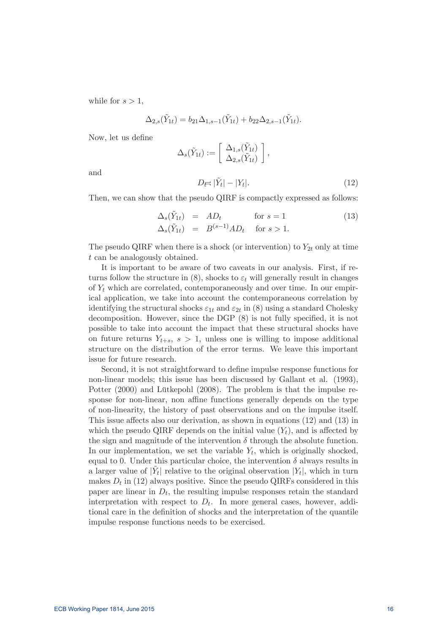while for  $s > 1$ ,

$$
\Delta_{2,s}(\tilde{Y}_{1t}) = b_{21}\Delta_{1,s-1}(\tilde{Y}_{1t}) + b_{22}\Delta_{2,s-1}(\tilde{Y}_{1t}).
$$

Now, let us define

$$
\Delta_s(\tilde{Y}_{1t}) := \begin{bmatrix} \Delta_{1,s}(\tilde{Y}_{1t}) \\ \Delta_{2,s}(\tilde{Y}_{1t}) \end{bmatrix},
$$

$$
D_{\overline{t}} = |\tilde{Y}_t| - |Y_t|.
$$
 (12)

and

Then, we can show that the pseudo QIRF is compactly expressed as follows:

$$
\Delta_s(\tilde{Y}_{1t}) = AD_t \quad \text{for } s = 1
$$
\n
$$
\Delta_s(\tilde{Y}_{1t}) = B^{(s-1)}AD_t \quad \text{for } s > 1.
$$
\n(13)

The pseudo QIRF when there is a shock (or intervention) to  $Y_{2t}$  only at time  $t$  can be analogously obtained.

It is important to be aware of two caveats in our analysis. First, if returns follow the structure in (8), shocks to  $\varepsilon_t$  will generally result in changes of  $Y_t$  which are correlated, contemporaneously and over time. In our empirical application, we take into account the contemporaneous correlation by identifying the structural shocks  $\varepsilon_{1t}$  and  $\varepsilon_{2t}$  in (8) using a standard Cholesky decomposition. However, since the DGP  $(8)$  is not fully specified, it is not possible to take into account the impact that these structural shocks have on future returns  $Y_{t+s}$ ,  $s > 1$ , unless one is willing to impose additional structure on the distribution of the error terms. We leave this important issue for future research.

Second, it is not straightforward to define impulse response functions for non-linear models; this issue has been discussed by Gallant et al. (1993), Potter (2000) and Lütkepohl (2008). The problem is that the impulse response for non-linear, non affine functions generally depends on the type of non-linearity, the history of past observations and on the impulse itself. This issue affects also our derivation, as shown in equations  $(12)$  and  $(13)$  in which the pseudo QIRF depends on the initial value  $(Y_t)$ , and is affected by the sign and magnitude of the intervention  $\delta$  through the absolute function. In our implementation, we set the variable  $Y_t$ , which is originally shocked, equal to 0. Under this particular choice, the intervention  $\delta$  always results in a larger value of  $|Y_t|$  relative to the original observation  $|Y_t|$ , which in turn makes  $D_t$  in (12) always positive. Since the pseudo QIRFs considered in this paper are linear in  $D_t$ , the resulting impulse responses retain the standard interpretation with respect to  $D_t$ . In more general cases, however, additional care in the definition of shocks and the interpretation of the quantile impulse response functions needs to be exercised.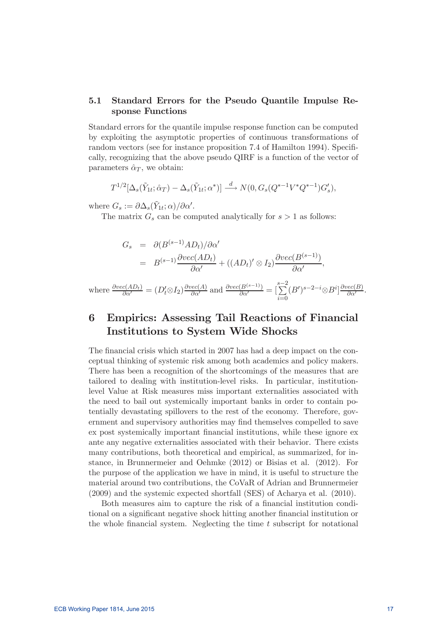### 5.1 Standard Errors for the Pseudo Quantile Impulse Response Functions

Standard errors for the quantile impulse response function can be computed by exploiting the asymptotic properties of continuous transformations of random vectors (see for instance proposition 7.4 of Hamilton 1994). Specifically, recognizing that the above pseudo QIRF is a function of the vector of parameters  $\hat{\alpha}_T$ , we obtain:

$$
T^{1/2}[\Delta_s(\tilde{Y}_{1t};\hat{\alpha}_T) - \Delta_s(\tilde{Y}_{1t};\alpha^*)] \stackrel{d}{\longrightarrow} N(0, G_s(Q^{*-1}V^*Q^{*-1})G'_s),
$$

where  $G_s := \partial \Delta_s(\tilde{Y}_{1t}; \alpha) / \partial \alpha'.$ 

The matrix  $G_s$  can be computed analytically for  $s > 1$  as follows:

$$
G_s = \partial (B^{(s-1)}AD_t)/\partial \alpha'
$$
  
=  $B^{(s-1)}\frac{\partial vec(AD_t)}{\partial \alpha'} + ((AD_t)'\otimes I_2)\frac{\partial vec(B^{(s-1)})}{\partial \alpha'},$ 

where  $\frac{\partial vec(AD_t)}{\partial \alpha'} = (D'_t \otimes I_2) \frac{\partial vec(A)}{\partial \alpha'}$  and  $\frac{\partial vec(B^{(s-1)})}{\partial \alpha'} = \left[\sum_{k=0}^{s-2} \right]$  $i=0$  $(B')^{s-2-i} \otimes B^i \big] \frac{\partial vec(B)}{\partial \alpha'}$ .

## 6 Empirics: Assessing Tail Reactions of Financial Institutions to System Wide Shocks

The financial crisis which started in 2007 has had a deep impact on the conceptual thinking of systemic risk among both academics and policy makers. There has been a recognition of the shortcomings of the measures that are tailored to dealing with institution-level risks. In particular, institutionlevel Value at Risk measures miss important externalities associated with the need to bail out systemically important banks in order to contain potentially devastating spillovers to the rest of the economy. Therefore, government and supervisory authorities may find themselves compelled to save ex post systemically important financial institutions, while these ignore ex ante any negative externalities associated with their behavior. There exists many contributions, both theoretical and empirical, as summarized, for instance, in Brunnermeier and Oehmke (2012) or Bisias et al. (2012). For the purpose of the application we have in mind, it is useful to structure the material around two contributions, the CoVaR of Adrian and Brunnermeier (2009) and the systemic expected shortfall (SES) of Acharya et al. (2010).

Both measures aim to capture the risk of a financial institution conditional on a significant negative shock hitting another financial institution or the whole financial system. Neglecting the time  $t$  subscript for notational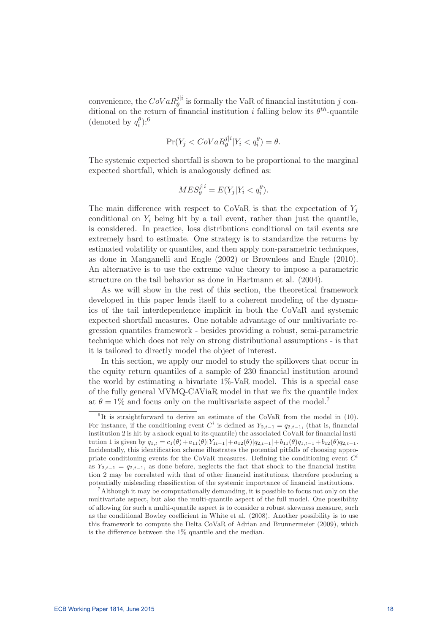convenience, the  $CoVaR_{\theta}^{j|i}$  is formally the VaR of financial institution j conditional on the return of financial institution i falling below its  $\theta^{th}$ -quantile (denoted by  $q_i^{\theta}$ ):<sup>6</sup>

$$
\Pr(Y_j < \text{CoVaR}_{\theta}^{j|i}|Y_i < q_i^{\theta}) = \theta.
$$

The systemic expected shortfall is shown to be proportional to the marginal expected shortfall, which is analogously defined as:

$$
MES_{\theta}^{j|i} = E(Y_j|Y_i < q_i^{\theta}).
$$

The main difference with respect to CoVaR is that the expectation of  $Y_i$ conditional on  $Y_i$  being hit by a tail event, rather than just the quantile, is considered. In practice, loss distributions conditional on tail events are extremely hard to estimate. One strategy is to standardize the returns by estimated volatility or quantiles, and then apply non-parametric techniques, as done in Manganelli and Engle (2002) or Brownlees and Engle (2010). An alternative is to use the extreme value theory to impose a parametric structure on the tail behavior as done in Hartmann et al. (2004).

As we will show in the rest of this section, the theoretical framework developed in this paper lends itself to a coherent modeling of the dynamics of the tail interdependence implicit in both the CoVaR and systemic expected shortfall measures. One notable advantage of our multivariate regression quantiles framework - besides providing a robust, semi-parametric technique which does not rely on strong distributional assumptions - is that it is tailored to directly model the object of interest.

In this section, we apply our model to study the spillovers that occur in the equity return quantiles of a sample of 230 financial institution around the world by estimating a bivariate 1%-VaR model. This is a special case of the fully general MVMQ-CAViaR model in that we fix the quantile index at  $\theta = 1\%$  and focus only on the multivariate aspect of the model.<sup>7</sup>

 ${}^{6}$ It is straightforward to derive an estimate of the CoVaR from the model in (10). For instance, if the conditioning event  $C^i$  is defined as  $Y_{2,t-1} = q_{2,t-1}$ , (that is, financial institution 2 is hit by a shock equal to its quantile) the associated CoVaR for financial institution 1 is given by  $q_{1,t} = c_1(\theta) + a_{11}(\theta)[Y_{1t-1}|+a_{12}(\theta)|q_{2,t-1}|+b_{11}(\theta)q_{1,t-1}+b_{12}(\theta)q_{2,t-1}.$ Incidentally, this identification scheme illustrates the potential pitfalls of choosing appropriate conditioning events for the CoVaR measures. Defining the conditioning event  $C^i$ as  $Y_{2,t-1} = q_{2,t-1}$ , as done before, neglects the fact that shock to the financial institution 2 may be correlated with that of other nancial institutions, therefore producing a potentially misleading classification of the systemic importance of financial institutions.

<sup>&</sup>lt;sup>7</sup>Although it may be computationally demanding, it is possible to focus not only on the multivariate aspect, but also the multi-quantile aspect of the full model. One possibility of allowing for such a multi-quantile aspect is to consider a robust skewness measure, such as the conditional Bowley coefficient in White et al.  $(2008)$ . Another possibility is to use this framework to compute the Delta CoVaR of Adrian and Brunnermeier (2009), which is the difference between the  $1\%$  quantile and the median.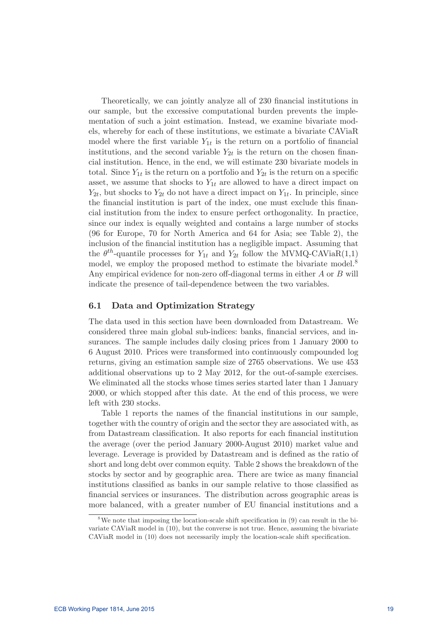Theoretically, we can jointly analyze all of 230 financial institutions in our sample, but the excessive computational burden prevents the implementation of such a joint estimation. Instead, we examine bivariate models, whereby for each of these institutions, we estimate a bivariate CAViaR model where the first variable  $Y_{1t}$  is the return on a portfolio of financial institutions, and the second variable  $Y_{2t}$  is the return on the chosen financial institution. Hence, in the end, we will estimate 230 bivariate models in total. Since  $Y_{1t}$  is the return on a portfolio and  $Y_{2t}$  is the return on a specific asset, we assume that shocks to  $Y_{1t}$  are allowed to have a direct impact on  $Y_{2t}$ , but shocks to  $Y_{2t}$  do not have a direct impact on  $Y_{1t}$ . In principle, since the financial institution is part of the index, one must exclude this financial institution from the index to ensure perfect orthogonality. In practice, since our index is equally weighted and contains a large number of stocks (96 for Europe, 70 for North America and 64 for Asia; see Table 2), the inclusion of the financial institution has a negligible impact. Assuming that the  $\theta^{th}$ -quantile processes for  $Y_{1t}$  and  $Y_{2t}$  follow the MVMQ-CAViaR(1,1) model, we employ the proposed method to estimate the bivariate model.<sup>8</sup> Any empirical evidence for non-zero off-diagonal terms in either  $A$  or  $B$  will indicate the presence of tail-dependence between the two variables.

### 6.1 Data and Optimization Strategy

The data used in this section have been downloaded from Datastream. We considered three main global sub-indices: banks, financial services, and insurances. The sample includes daily closing prices from 1 January 2000 to 6 August 2010. Prices were transformed into continuously compounded log returns, giving an estimation sample size of 2765 observations. We use 453 additional observations up to 2 May 2012, for the out-of-sample exercises. We eliminated all the stocks whose times series started later than 1 January 2000, or which stopped after this date. At the end of this process, we were left with 230 stocks.

Table 1 reports the names of the financial institutions in our sample, together with the country of origin and the sector they are associated with, as from Datastream classification. It also reports for each financial institution the average (over the period January 2000-August 2010) market value and leverage. Leverage is provided by Datastream and is defined as the ratio of short and long debt over common equity. Table 2 shows the breakdown of the stocks by sector and by geographic area. There are twice as many financial institutions classied as banks in our sample relative to those classied as financial services or insurances. The distribution across geographic areas is more balanced, with a greater number of EU financial institutions and a

 $8$ We note that imposing the location-scale shift specification in (9) can result in the bivariate CAViaR model in (10), but the converse is not true. Hence, assuming the bivariate CAViaR model in (10) does not necessarily imply the location-scale shift specication.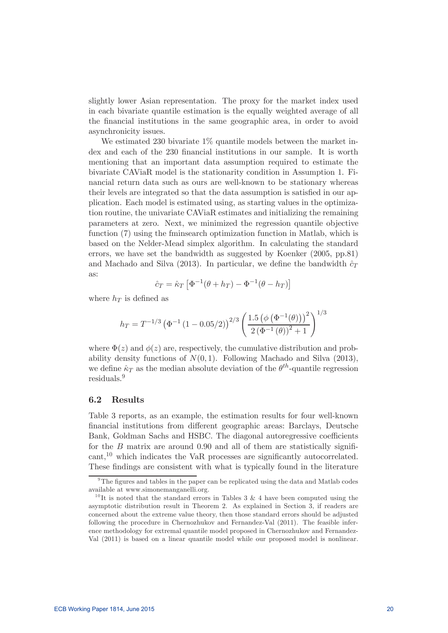slightly lower Asian representation. The proxy for the market index used in each bivariate quantile estimation is the equally weighted average of all the nancial institutions in the same geographic area, in order to avoid asynchronicity issues.

We estimated 230 bivariate 1% quantile models between the market index and each of the 230 financial institutions in our sample. It is worth mentioning that an important data assumption required to estimate the bivariate CAViaR model is the stationarity condition in Assumption 1. Financial return data such as ours are well-known to be stationary whereas their levels are integrated so that the data assumption is satisfied in our application. Each model is estimated using, as starting values in the optimization routine, the univariate CAViaR estimates and initializing the remaining parameters at zero. Next, we minimized the regression quantile objective function (7) using the fminsearch optimization function in Matlab, which is based on the Nelder-Mead simplex algorithm. In calculating the standard errors, we have set the bandwidth as suggested by Koenker (2005, pp.81) and Machado and Silva (2013). In particular, we define the bandwidth  $\hat{c}_T$ as:

$$
\hat{c}_T = \hat{\kappa}_T \left[ \Phi^{-1}(\theta + h_T) - \Phi^{-1}(\theta - h_T) \right]
$$

where  $h_T$  is defined as

$$
h_T = T^{-1/3} \left( \Phi^{-1} \left( 1 - 0.05/2 \right) \right)^{2/3} \left( \frac{1.5 \left( \phi \left( \Phi^{-1}(\theta) \right) \right)^2}{2 \left( \Phi^{-1}(\theta) \right)^2 + 1} \right)^{1/3}
$$

where  $\Phi(z)$  and  $\phi(z)$  are, respectively, the cumulative distribution and probability density functions of  $N(0, 1)$ . Following Machado and Silva (2013), we define  $\hat{\kappa}_T$  as the median absolute deviation of the  $\theta^{th}$ -quantile regression residuals.<sup>9</sup>

### 6.2 Results

Table 3 reports, as an example, the estimation results for four well-known financial institutions from different geographic areas: Barclays, Deutsche Bank, Goldman Sachs and HSBC. The diagonal autoregressive coefficients for the  $B$  matrix are around 0.90 and all of them are statistically signifi- $\text{cant}$ ,<sup>10</sup> which indicates the VaR processes are significantly autocorrelated. These findings are consistent with what is typically found in the literature

<sup>&</sup>lt;sup>9</sup>The figures and tables in the paper can be replicated using the data and Matlab codes available at www.simonemanganelli.org.

<sup>&</sup>lt;sup>10</sup>It is noted that the standard errors in Tables 3 & 4 have been computed using the asymptotic distribution result in Theorem 2. As explained in Section 3, if readers are concerned about the extreme value theory, then those standard errors should be adjusted following the procedure in Chernozhukov and Fernandez-Val (2011). The feasible inference methodology for extremal quantile model proposed in Chernozhukov and Fernandez-Val (2011) is based on a linear quantile model while our proposed model is nonlinear.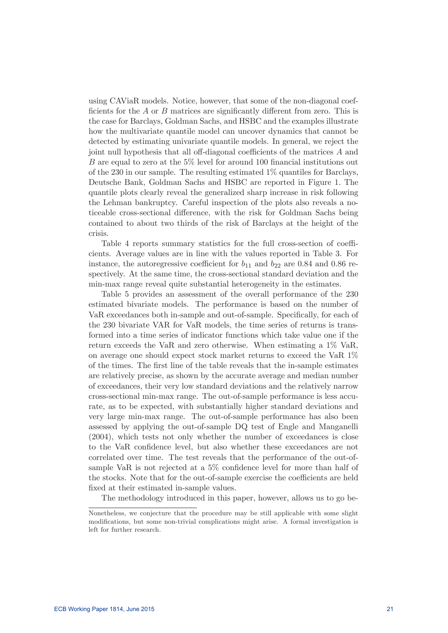using CAViaR models. Notice, however, that some of the non-diagonal coef ficients for the  $A$  or  $B$  matrices are significantly different from zero. This is the case for Barclays, Goldman Sachs, and HSBC and the examples illustrate how the multivariate quantile model can uncover dynamics that cannot be detected by estimating univariate quantile models. In general, we reject the joint null hypothesis that all off-diagonal coefficients of the matrices  $A$  and  $B$  are equal to zero at the 5% level for around 100 financial institutions out of the 230 in our sample. The resulting estimated 1% quantiles for Barclays, Deutsche Bank, Goldman Sachs and HSBC are reported in Figure 1. The quantile plots clearly reveal the generalized sharp increase in risk following the Lehman bankruptcy. Careful inspection of the plots also reveals a noticeable cross-sectional difference, with the risk for Goldman Sachs being contained to about two thirds of the risk of Barclays at the height of the crisis.

Table 4 reports summary statistics for the full cross-section of coefficients. Average values are in line with the values reported in Table 3. For instance, the autoregressive coefficient for  $b_{11}$  and  $b_{22}$  are 0.84 and 0.86 respectively. At the same time, the cross-sectional standard deviation and the min-max range reveal quite substantial heterogeneity in the estimates.

Table 5 provides an assessment of the overall performance of the 230 estimated bivariate models. The performance is based on the number of VaR exceedances both in-sample and out-of-sample. Specifically, for each of the 230 bivariate VAR for VaR models, the time series of returns is transformed into a time series of indicator functions which take value one if the return exceeds the VaR and zero otherwise. When estimating a 1% VaR, on average one should expect stock market returns to exceed the VaR 1% of the times. The first line of the table reveals that the in-sample estimates are relatively precise, as shown by the accurate average and median number of exceedances, their very low standard deviations and the relatively narrow cross-sectional min-max range. The out-of-sample performance is less accurate, as to be expected, with substantially higher standard deviations and very large min-max range. The out-of-sample performance has also been assessed by applying the out-of-sample DQ test of Engle and Manganelli (2004), which tests not only whether the number of exceedances is close to the VaR confidence level, but also whether these exceedances are not correlated over time. The test reveals that the performance of the out-ofsample VaR is not rejected at a  $5\%$  confidence level for more than half of the stocks. Note that for the out-of-sample exercise the coefficients are held xed at their estimated in-sample values.

The methodology introduced in this paper, however, allows us to go be-

Nonetheless, we conjecture that the procedure may be still applicable with some slight modications, but some non-trivial complications might arise. A formal investigation is left for further research.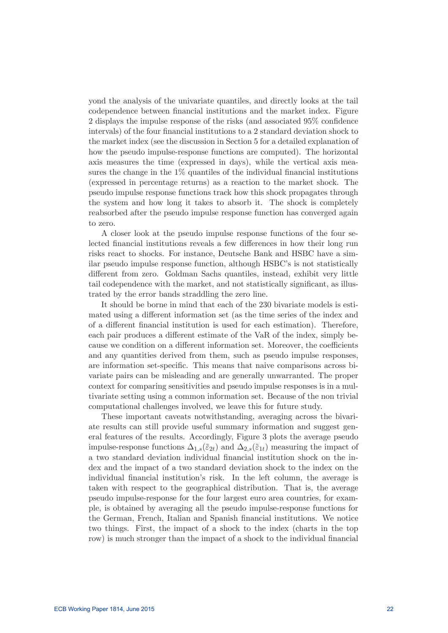yond the analysis of the univariate quantiles, and directly looks at the tail codependence between financial institutions and the market index. Figure 2 displays the impulse response of the risks (and associated 95% confidence intervals) of the four financial institutions to a 2 standard deviation shock to the market index (see the discussion in Section 5 for a detailed explanation of how the pseudo impulse-response functions are computed). The horizontal axis measures the time (expressed in days), while the vertical axis measures the change in the  $1\%$  quantiles of the individual financial institutions (expressed in percentage returns) as a reaction to the market shock. The pseudo impulse response functions track how this shock propagates through the system and how long it takes to absorb it. The shock is completely reabsorbed after the pseudo impulse response function has converged again to zero.

A closer look at the pseudo impulse response functions of the four selected financial institutions reveals a few differences in how their long run risks react to shocks. For instance, Deutsche Bank and HSBC have a similar pseudo impulse response function, although HSBC's is not statistically different from zero. Goldman Sachs quantiles, instead, exhibit very little tail codependence with the market, and not statistically signicant, as illustrated by the error bands straddling the zero line.

It should be borne in mind that each of the 230 bivariate models is estimated using a different information set (as the time series of the index and of a different financial institution is used for each estimation). Therefore, each pair produces a different estimate of the VaR of the index, simply because we condition on a different information set. Moreover, the coefficients and any quantities derived from them, such as pseudo impulse responses, are information set-specific. This means that naive comparisons across bivariate pairs can be misleading and are generally unwarranted. The proper context for comparing sensitivities and pseudo impulse responses is in a multivariate setting using a common information set. Because of the non trivial computational challenges involved, we leave this for future study.

These important caveats notwithstanding, averaging across the bivariate results can still provide useful summary information and suggest general features of the results. Accordingly, Figure 3 plots the average pseudo impulse-response functions  $\Delta_{1,s}(\tilde{\epsilon}_{2t})$  and  $\Delta_{2,s}(\tilde{\epsilon}_{1t})$  measuring the impact of a two standard deviation individual financial institution shock on the index and the impact of a two standard deviation shock to the index on the individual financial institution's risk. In the left column, the average is taken with respect to the geographical distribution. That is, the average pseudo impulse-response for the four largest euro area countries, for example, is obtained by averaging all the pseudo impulse-response functions for the German, French, Italian and Spanish nancial institutions. We notice two things. First, the impact of a shock to the index (charts in the top row) is much stronger than the impact of a shock to the individual financial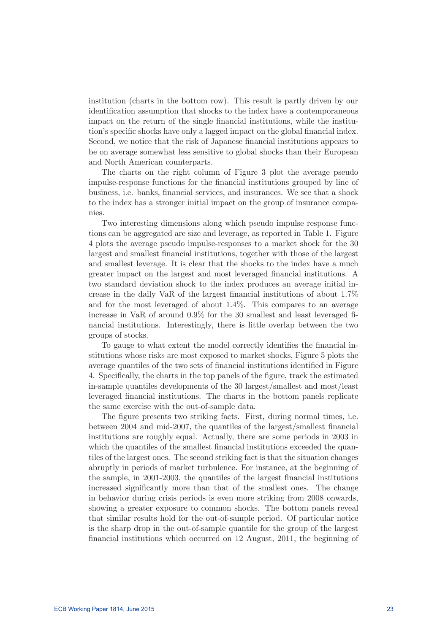institution (charts in the bottom row). This result is partly driven by our identification assumption that shocks to the index have a contemporaneous impact on the return of the single financial institutions, while the institution's specific shocks have only a lagged impact on the global financial index. Second, we notice that the risk of Japanese financial institutions appears to be on average somewhat less sensitive to global shocks than their European and North American counterparts.

The charts on the right column of Figure 3 plot the average pseudo impulse-response functions for the financial institutions grouped by line of business, i.e. banks, financial services, and insurances. We see that a shock to the index has a stronger initial impact on the group of insurance companies.

Two interesting dimensions along which pseudo impulse response functions can be aggregated are size and leverage, as reported in Table 1. Figure 4 plots the average pseudo impulse-responses to a market shock for the 30 largest and smallest financial institutions, together with those of the largest and smallest leverage. It is clear that the shocks to the index have a much greater impact on the largest and most leveraged financial institutions. A two standard deviation shock to the index produces an average initial increase in the daily VaR of the largest nancial institutions of about 1.7% and for the most leveraged of about 1.4%. This compares to an average increase in VaR of around  $0.9\%$  for the 30 smallest and least leveraged financial institutions. Interestingly, there is little overlap between the two groups of stocks.

To gauge to what extent the model correctly identifies the financial institutions whose risks are most exposed to market shocks, Figure 5 plots the average quantiles of the two sets of financial institutions identified in Figure 4. Specifically, the charts in the top panels of the figure, track the estimated in-sample quantiles developments of the 30 largest/smallest and most/least leveraged financial institutions. The charts in the bottom panels replicate the same exercise with the out-of-sample data.

The figure presents two striking facts. First, during normal times, i.e. between 2004 and mid-2007, the quantiles of the largest/smallest financial institutions are roughly equal. Actually, there are some periods in 2003 in which the quantiles of the smallest financial institutions exceeded the quantiles of the largest ones. The second striking fact is that the situation changes abruptly in periods of market turbulence. For instance, at the beginning of the sample, in 2001-2003, the quantiles of the largest financial institutions increased significantly more than that of the smallest ones. The change in behavior during crisis periods is even more striking from 2008 onwards, showing a greater exposure to common shocks. The bottom panels reveal that similar results hold for the out-of-sample period. Of particular notice is the sharp drop in the out-of-sample quantile for the group of the largest financial institutions which occurred on 12 August, 2011, the beginning of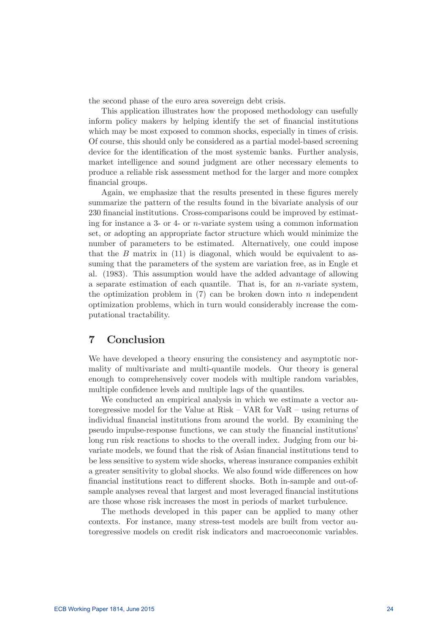the second phase of the euro area sovereign debt crisis.

This application illustrates how the proposed methodology can usefully inform policy makers by helping identify the set of financial institutions which may be most exposed to common shocks, especially in times of crisis. Of course, this should only be considered as a partial model-based screening device for the identification of the most systemic banks. Further analysis, market intelligence and sound judgment are other necessary elements to produce a reliable risk assessment method for the larger and more complex financial groups.

Again, we emphasize that the results presented in these figures merely summarize the pattern of the results found in the bivariate analysis of our 230 financial institutions. Cross-comparisons could be improved by estimating for instance a 3- or 4- or  $n$ -variate system using a common information set, or adopting an appropriate factor structure which would minimize the number of parameters to be estimated. Alternatively, one could impose that the  $B$  matrix in  $(11)$  is diagonal, which would be equivalent to assuming that the parameters of the system are variation free, as in Engle et al. (1983). This assumption would have the added advantage of allowing a separate estimation of each quantile. That is, for an  $n$ -variate system, the optimization problem in  $(7)$  can be broken down into  $n$  independent optimization problems, which in turn would considerably increase the computational tractability.

## 7 Conclusion

We have developed a theory ensuring the consistency and asymptotic normality of multivariate and multi-quantile models. Our theory is general enough to comprehensively cover models with multiple random variables, multiple confidence levels and multiple lags of the quantiles.

We conducted an empirical analysis in which we estimate a vector autoregressive model for the Value at Risk — VAR for VaR — using returns of individual financial institutions from around the world. By examining the pseudo impulse-response functions, we can study the nancial institutions' long run risk reactions to shocks to the overall index. Judging from our bivariate models, we found that the risk of Asian financial institutions tend to be less sensitive to system wide shocks, whereas insurance companies exhibit a greater sensitivity to global shocks. We also found wide differences on how financial institutions react to different shocks. Both in-sample and out-ofsample analyses reveal that largest and most leveraged financial institutions are those whose risk increases the most in periods of market turbulence.

The methods developed in this paper can be applied to many other contexts. For instance, many stress-test models are built from vector autoregressive models on credit risk indicators and macroeconomic variables.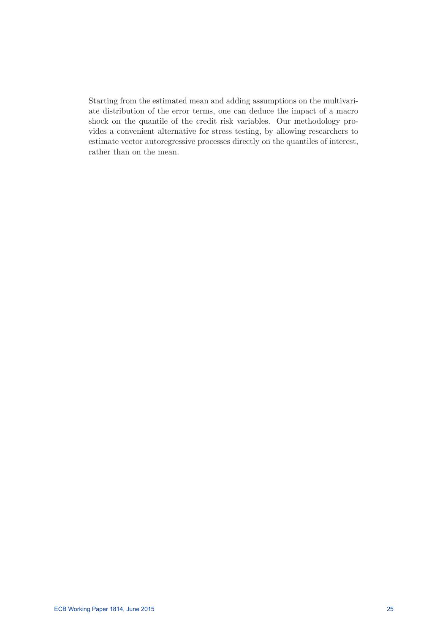Starting from the estimated mean and adding assumptions on the multivariate distribution of the error terms, one can deduce the impact of a macro shock on the quantile of the credit risk variables. Our methodology provides a convenient alternative for stress testing, by allowing researchers to estimate vector autoregressive processes directly on the quantiles of interest, rather than on the mean.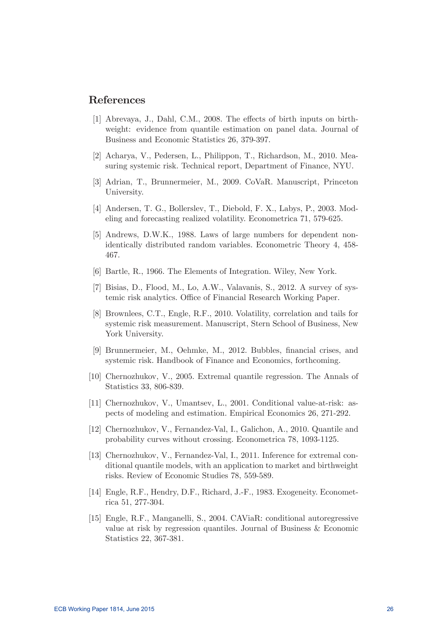### References

- [1] Abrevaya, J., Dahl, C.M., 2008. The effects of birth inputs on birthweight: evidence from quantile estimation on panel data. Journal of Business and Economic Statistics 26, 379-397.
- [2] Acharya, V., Pedersen, L., Philippon, T., Richardson, M., 2010. Measuring systemic risk. Technical report, Department of Finance, NYU.
- [3] Adrian, T., Brunnermeier, M., 2009. CoVaR. Manuscript, Princeton University.
- [4] Andersen, T. G., Bollerslev, T., Diebold, F. X., Labys, P., 2003. Modeling and forecasting realized volatility. Econometrica 71, 579-625.
- [5] Andrews, D.W.K., 1988. Laws of large numbers for dependent nonidentically distributed random variables. Econometric Theory 4, 458- 467.
- [6] Bartle, R., 1966. The Elements of Integration. Wiley, New York.
- [7] Bisias, D., Flood, M., Lo, A.W., Valavanis, S., 2012. A survey of systemic risk analytics. Office of Financial Research Working Paper.
- [8] Brownlees, C.T., Engle, R.F., 2010. Volatility, correlation and tails for systemic risk measurement. Manuscript, Stern School of Business, New York University.
- [9] Brunnermeier, M., Oehmke, M., 2012. Bubbles, financial crises, and systemic risk. Handbook of Finance and Economics, forthcoming.
- [10] Chernozhukov, V., 2005. Extremal quantile regression. The Annals of Statistics 33, 806-839.
- [11] Chernozhukov, V., Umantsev, L., 2001. Conditional value-at-risk: aspects of modeling and estimation. Empirical Economics 26, 271-292.
- [12] Chernozhukov, V., Fernandez-Val, I., Galichon, A., 2010. Quantile and probability curves without crossing. Econometrica 78, 1093-1125.
- [13] Chernozhukov, V., Fernandez-Val, I., 2011. Inference for extremal conditional quantile models, with an application to market and birthweight risks. Review of Economic Studies 78, 559-589.
- [14] Engle, R.F., Hendry, D.F., Richard, J.-F., 1983. Exogeneity. Econometrica 51, 277-304.
- [15] Engle, R.F., Manganelli, S., 2004. CAViaR: conditional autoregressive value at risk by regression quantiles. Journal of Business & Economic Statistics 22, 367-381.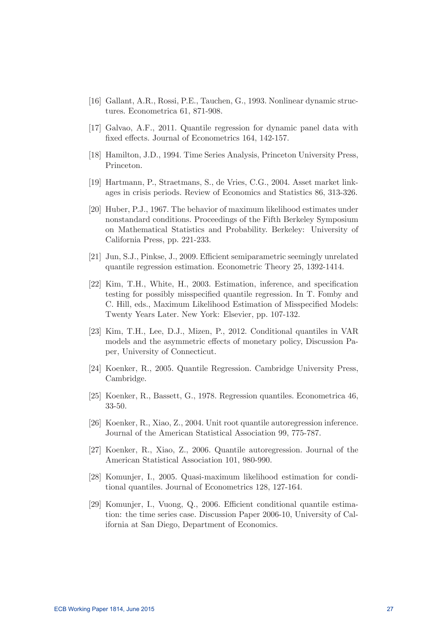- [16] Gallant, A.R., Rossi, P.E., Tauchen, G., 1993. Nonlinear dynamic structures. Econometrica 61, 871-908.
- [17] Galvao, A.F., 2011. Quantile regression for dynamic panel data with fixed effects. Journal of Econometrics 164, 142-157.
- [18] Hamilton, J.D., 1994. Time Series Analysis, Princeton University Press, Princeton.
- [19] Hartmann, P., Straetmans, S., de Vries, C.G., 2004. Asset market linkages in crisis periods. Review of Economics and Statistics 86, 313-326.
- [20] Huber, P.J., 1967. The behavior of maximum likelihood estimates under nonstandard conditions. Proceedings of the Fifth Berkeley Symposium on Mathematical Statistics and Probability. Berkeley: University of California Press, pp. 221-233.
- [21] Jun, S.J., Pinkse, J., 2009. Efficient semiparametric seemingly unrelated quantile regression estimation. Econometric Theory 25, 1392-1414.
- [22] Kim, T.H., White, H., 2003. Estimation, inference, and specication testing for possibly misspecified quantile regression. In T. Fomby and C. Hill, eds., Maximum Likelihood Estimation of Misspecified Models: Twenty Years Later. New York: Elsevier, pp. 107-132.
- [23] Kim, T.H., Lee, D.J., Mizen, P., 2012. Conditional quantiles in VAR models and the asymmetric effects of monetary policy, Discussion Paper, University of Connecticut.
- [24] Koenker, R., 2005. Quantile Regression. Cambridge University Press, Cambridge.
- [25] Koenker, R., Bassett, G., 1978. Regression quantiles. Econometrica 46, 33-50.
- [26] Koenker, R., Xiao, Z., 2004. Unit root quantile autoregression inference. Journal of the American Statistical Association 99, 775-787.
- [27] Koenker, R., Xiao, Z., 2006. Quantile autoregression. Journal of the American Statistical Association 101, 980-990.
- [28] Komunjer, I., 2005. Quasi-maximum likelihood estimation for conditional quantiles. Journal of Econometrics 128, 127-164.
- [29] Komunjer, I., Vuong, Q., 2006. Efficient conditional quantile estimation: the time series case. Discussion Paper 2006-10, University of California at San Diego, Department of Economics.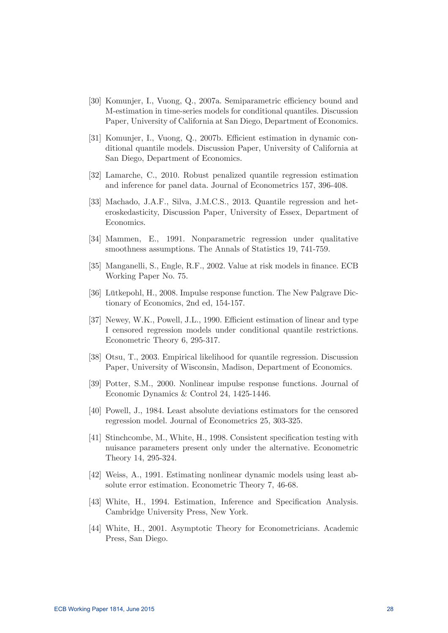- [30] Komunjer, I., Vuong, Q., 2007a. Semiparametric efficiency bound and M-estimation in time-series models for conditional quantiles. Discussion Paper, University of California at San Diego, Department of Economics.
- [31] Komunjer, I., Vuong, Q., 2007b. Efficient estimation in dynamic conditional quantile models. Discussion Paper, University of California at San Diego, Department of Economics.
- [32] Lamarche, C., 2010. Robust penalized quantile regression estimation and inference for panel data. Journal of Econometrics 157, 396-408.
- [33] Machado, J.A.F., Silva, J.M.C.S., 2013. Quantile regression and heteroskedasticity, Discussion Paper, University of Essex, Department of Economics.
- [34] Mammen, E., 1991. Nonparametric regression under qualitative smoothness assumptions. The Annals of Statistics 19, 741-759.
- [35] Manganelli, S., Engle, R.F., 2002. Value at risk models in finance. ECB Working Paper No. 75.
- [36] Lütkepohl, H., 2008. Impulse response function. The New Palgrave Dictionary of Economics, 2nd ed, 154-157.
- [37] Newey, W.K., Powell, J.L., 1990. Efficient estimation of linear and type I censored regression models under conditional quantile restrictions. Econometric Theory 6, 295-317.
- [38] Otsu, T., 2003. Empirical likelihood for quantile regression. Discussion Paper, University of Wisconsin, Madison, Department of Economics.
- [39] Potter, S.M., 2000. Nonlinear impulse response functions. Journal of Economic Dynamics & Control 24, 1425-1446.
- [40] Powell, J., 1984. Least absolute deviations estimators for the censored regression model. Journal of Econometrics 25, 303-325.
- [41] Stinchcombe, M., White, H., 1998. Consistent specification testing with nuisance parameters present only under the alternative. Econometric Theory 14, 295-324.
- [42] Weiss, A., 1991. Estimating nonlinear dynamic models using least absolute error estimation. Econometric Theory 7, 46-68.
- [43] White, H., 1994. Estimation, Inference and Specification Analysis. Cambridge University Press, New York.
- [44] White, H., 2001. Asymptotic Theory for Econometricians. Academic Press, San Diego.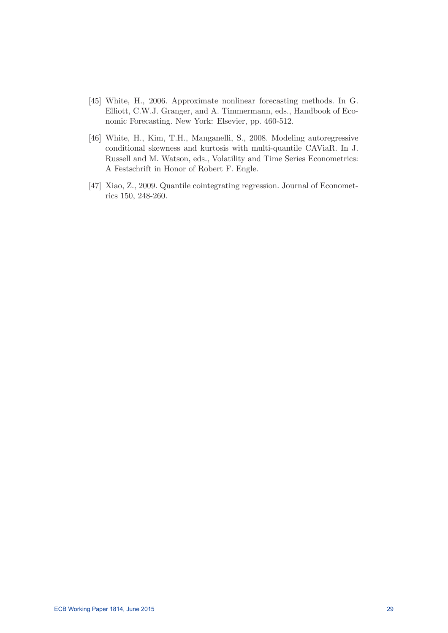- [45] White, H., 2006. Approximate nonlinear forecasting methods. In G. Elliott, C.W.J. Granger, and A. Timmermann, eds., Handbook of Economic Forecasting. New York: Elsevier, pp. 460-512.
- [46] White, H., Kim, T.H., Manganelli, S., 2008. Modeling autoregressive conditional skewness and kurtosis with multi-quantile CAViaR. In J. Russell and M. Watson, eds., Volatility and Time Series Econometrics: A Festschrift in Honor of Robert F. Engle.
- [47] Xiao, Z., 2009. Quantile cointegrating regression. Journal of Econometrics 150, 248-260.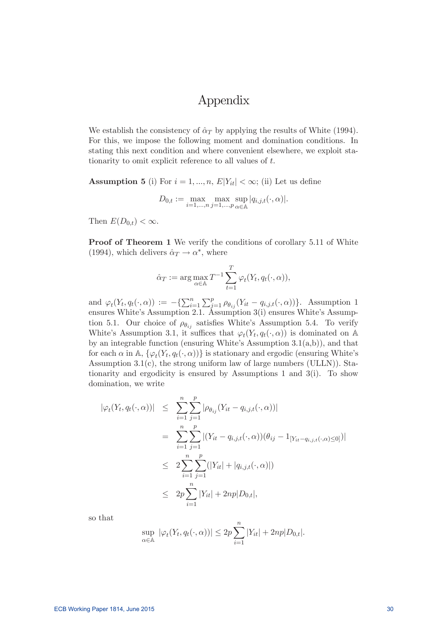## Appendix

We establish the consistency of  $\hat{\alpha}_T$  by applying the results of White (1994). For this, we impose the following moment and domination conditions. In stating this next condition and where convenient elsewhere, we exploit stationarity to omit explicit reference to all values of  $t$ .

## **Assumption 5** (i) For  $i = 1, ..., n$ ,  $E|Y_{it}| < \infty$ ; (ii) Let us define  $D_{0,t} := \max_{i=1,...,n} \max_{j=1,...,p} \sup_{\alpha \in \mathbb{A}}$  $\sup_{\alpha\in\mathbb{A}}|q_{i,j,t}(\cdot,\alpha)|.$

Then  $E(D_{0,t}) < \infty$ .

Proof of Theorem 1 We verify the conditions of corollary 5.11 of White (1994), which delivers  $\hat{\alpha}_T \rightarrow \alpha^*$ , where

$$
\hat{\alpha}_T := \arg \max_{\alpha \in \mathbb{A}} T^{-1} \sum_{t=1}^T \varphi_t(Y_t, q_t(\cdot, \alpha)),
$$

and  $\varphi_t(Y_t, q_t(\cdot, \alpha)) := -\left\{ \sum_{i=1}^n \sum_{j=1}^p \rho_{\theta_{ij}}(Y_{it} - q_{i,j,t}(\cdot, \alpha)) \right\}$ . Assumption 1 ensures White's Assumption 2.1. Assumption 3(i) ensures White's Assumption 5.1. Our choice of  $\rho_{\theta_{ij}}$  satisfies White's Assumption 5.4. To verify White's Assumption 3.1, it suffices that  $\varphi_t(Y_t, q_t(\cdot, \alpha))$  is dominated on A by an integrable function (ensuring White's Assumption  $3.1(a,b)$ ), and that for each  $\alpha$  in A,  $\{\varphi_t(Y_t, q_t(\cdot, \alpha))\}$  is stationary and ergodic (ensuring White's Assumption 3.1(c), the strong uniform law of large numbers (ULLN)). Stationarity and ergodicity is ensured by Assumptions 1 and 3(i). To show domination, we write

$$
|\varphi_t(Y_t, q_t(\cdot, \alpha))| \leq \sum_{i=1}^n \sum_{j=1}^p |\rho_{\theta_{ij}}(Y_{it} - q_{i,j,t}(\cdot, \alpha))|
$$
  
\n
$$
= \sum_{i=1}^n \sum_{j=1}^p |(Y_{it} - q_{i,j,t}(\cdot, \alpha))(\theta_{ij} - 1_{[Y_{it} - q_{i,j,t}(\cdot, \alpha) \leq 0]})|
$$
  
\n
$$
\leq 2 \sum_{i=1}^n \sum_{j=1}^p (|Y_{it}| + |q_{i,j,t}(\cdot, \alpha)|)
$$
  
\n
$$
\leq 2p \sum_{i=1}^n |Y_{it}| + 2np|D_{0,t}|,
$$

so that

$$
\sup_{\alpha \in \mathbb{A}} |\varphi_t(Y_t, q_t(\cdot, \alpha))| \le 2p \sum_{i=1}^n |Y_{it}| + 2np|D_{0,t}|.
$$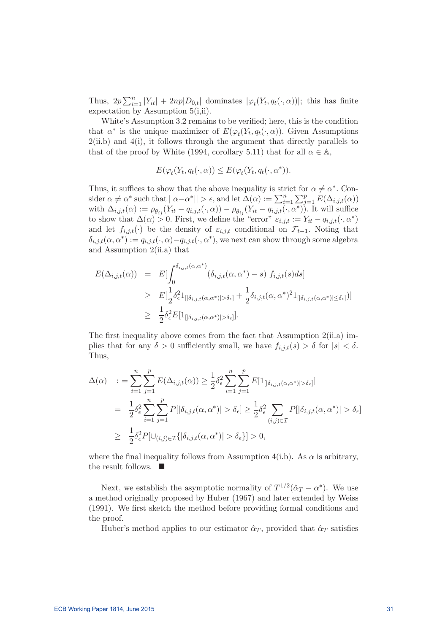Thus,  $2p \sum_{i=1}^n |Y_{it}| + 2np|D_{0,t}|$  dominates  $|\varphi_t(Y_t, q_t(\cdot, \alpha))|$ ; this has finite expectation by Assumption 5(i,ii).

White's Assumption 3.2 remains to be verified; here, this is the condition that  $\alpha^*$  is the unique maximizer of  $E(\varphi_t(Y_t, q_t(\cdot, \alpha))$ . Given Assumptions  $2(ii.b)$  and  $4(i)$ , it follows through the argument that directly parallels to that of the proof by White (1994, corollary 5.11) that for all  $\alpha \in \mathbb{A}$ ,

$$
E(\varphi_t(Y_t, q_t(\cdot, \alpha)) \le E(\varphi_t(Y_t, q_t(\cdot, \alpha^*))).
$$

Thus, it suffices to show that the above inequality is strict for  $\alpha \neq \alpha^*$ . Consider  $\alpha \neq \alpha^*$  such that  $||\alpha - \alpha^*|| > \epsilon$ , and let  $\Delta(\alpha) := \sum_{i=1}^n \sum_{j=1}^p E(\Delta_{i,j,t}(\alpha))$ with  $\Delta_{i,j,t}(\alpha) := \rho_{\theta_{ij}}(Y_{it}-q_{i,j,t}(\cdot,\alpha)) - \rho_{\theta_{ij}}(Y_{it}-q_{i,j,t}(\cdot,\alpha^*))$ . It will suffice to show that  $\Delta(\alpha) > 0$ . First, we define the "error"  $\varepsilon_{i,j,t} := Y_{it} - q_{i,j,t}(\cdot, \alpha^*)$ and let  $f_{i,j,t}(\cdot)$  be the density of  $\varepsilon_{i,j,t}$  conditional on  $\mathcal{F}_{t-1}$ . Noting that  $\delta_{i,j,t}(\alpha, \alpha^*) := q_{i,j,t}(\cdot, \alpha) - q_{i,j,t}(\cdot, \alpha^*)$ , we next can show through some algebra and Assumption 2(ii.a) that

$$
E(\Delta_{i,j,t}(\alpha)) = E[\int_0^{\delta_{i,j,t}(\alpha,\alpha^*)} (\delta_{i,j,t}(\alpha,\alpha^*) - s) f_{i,j,t}(s) ds]
$$
  
\n
$$
\geq E[\frac{1}{2}\delta_\epsilon^2 1_{[\delta_{i,j,t}(\alpha,\alpha^*)] > \delta_\epsilon]} + \frac{1}{2}\delta_{i,j,t}(\alpha,\alpha^*)^2 1_{[\delta_{i,j,t}(\alpha,\alpha^*)] \leq \delta_\epsilon]}]
$$
  
\n
$$
\geq \frac{1}{2}\delta_\epsilon^2 E[1_{[\delta_{i,j,t}(\alpha,\alpha^*)] > \delta_\epsilon]}].
$$

The first inequality above comes from the fact that Assumption  $2(ii.a)$  implies that for any  $\delta > 0$  sufficiently small, we have  $f_{i,j,t}(s) > \delta$  for  $|s| < \delta$ . Thus,

$$
\Delta(\alpha) \quad := \sum_{i=1}^{n} \sum_{j=1}^{p} E(\Delta_{i,j,t}(\alpha)) \geq \frac{1}{2} \delta_{\epsilon}^{2} \sum_{i=1}^{n} \sum_{j=1}^{p} E[1_{[|\delta_{i,j,t}(\alpha,\alpha^{*})|>\delta_{\epsilon}]}]
$$
\n
$$
= \frac{1}{2} \delta_{\epsilon}^{2} \sum_{i=1}^{n} \sum_{j=1}^{p} P[|\delta_{i,j,t}(\alpha,\alpha^{*})| > \delta_{\epsilon}] \geq \frac{1}{2} \delta_{\epsilon}^{2} \sum_{(i,j)\in\mathcal{I}} P[|\delta_{i,j,t}(\alpha,\alpha^{*})| > \delta_{\epsilon}]
$$
\n
$$
\geq \frac{1}{2} \delta_{\epsilon}^{2} P[\cup_{(i,j)\in\mathcal{I}} \{|\delta_{i,j,t}(\alpha,\alpha^{*})| > \delta_{\epsilon}\}] > 0,
$$

where the final inequality follows from Assumption 4(i.b). As  $\alpha$  is arbitrary, the result follows.  $\blacksquare$ 

Next, we establish the asymptotic normality of  $T^{1/2}(\hat{\alpha}_T - \alpha^*)$ . We use a method originally proposed by Huber (1967) and later extended by Weiss  $(1991)$ . We first sketch the method before providing formal conditions and the proof.

Huber's method applies to our estimator  $\hat{\alpha}_T$ , provided that  $\hat{\alpha}_T$  satisfies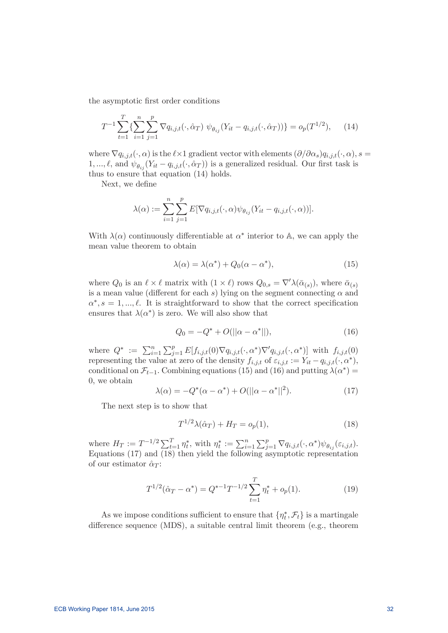the asymptotic first order conditions

$$
T^{-1} \sum_{t=1}^{T} \{ \sum_{i=1}^{n} \sum_{j=1}^{p} \nabla q_{i,j,t}(\cdot, \hat{\alpha}_T) \; \psi_{\theta_{ij}}(Y_{it} - q_{i,j,t}(\cdot, \hat{\alpha}_T)) \} = o_p(T^{1/2}), \quad (14)
$$

where  $\nabla q_{i,j,t}(\cdot,\alpha)$  is the  $\ell \times 1$  gradient vector with elements  $(\partial/\partial \alpha_s)q_{i,j,t}(\cdot,\alpha), s =$  $1, ..., \ell$ , and  $\psi_{\theta_{ij}}(Y_{it}-q_{i,j,t}(\cdot, \hat{\alpha}_T))$  is a generalized residual. Our first task is thus to ensure that equation (14) holds.

Next, we define

$$
\lambda(\alpha) := \sum_{i=1}^n \sum_{j=1}^p E[\nabla q_{i,j,t}(\cdot,\alpha)\psi_{\theta_{ij}}(Y_{it} - q_{i,j,t}(\cdot,\alpha))].
$$

With  $\lambda(\alpha)$  continuously differentiable at  $\alpha^*$  interior to A, we can apply the mean value theorem to obtain

$$
\lambda(\alpha) = \lambda(\alpha^*) + Q_0(\alpha - \alpha^*),\tag{15}
$$

where  $Q_0$  is an  $\ell \times \ell$  matrix with  $(1 \times \ell)$  rows  $Q_{0,s} = \nabla' \lambda(\bar{\alpha}_{(s)})$ , where  $\bar{\alpha}_{(s)}$ is a mean value (different for each s) lying on the segment connecting  $\alpha$  and  $\alpha^*, s = 1, ..., \ell$ . It is straightforward to show that the correct specification ensures that  $\lambda(\alpha^*)$  is zero. We will also show that

$$
Q_0 = -Q^* + O(||\alpha - \alpha^*||), \tag{16}
$$

where  $Q^* := \sum_{i=1}^n \sum_{j=1}^p E[f_{i,j,t}(0) \nabla q_{i,j,t}(\cdot, \alpha^*) \nabla' q_{i,j,t}(\cdot, \alpha^*)]$  with  $f_{i,j,t}(0)$ representing the value at zero of the density  $f_{i,j,t}$  of  $\varepsilon_{i,j,t} := Y_{it} - q_{i,j,t}(\cdot, \alpha^*),$ conditional on  $\mathcal{F}_{t-1}$ . Combining equations (15) and (16) and putting  $\lambda(\alpha^*)$  = 0, we obtain

$$
\lambda(\alpha) = -Q^*(\alpha - \alpha^*) + O(||\alpha - \alpha^*||^2). \tag{17}
$$

The next step is to show that

$$
T^{1/2}\lambda(\hat{\alpha}_T) + H_T = o_p(1),\tag{18}
$$

where  $H_T := T^{-1/2} \sum_{t=1}^T \eta_t^*$ , with  $\eta_t^* := \sum_{i=1}^n \sum_{j=1}^p \nabla q_{i,j,t}(\cdot, \alpha^*) \psi_{\theta_{ij}}(\varepsilon_{i,j,t}).$ Equations (17) and (18) then yield the following asymptotic representation of our estimator  $\hat{\alpha}_T$ :

$$
T^{1/2}(\hat{\alpha}_T - \alpha^*) = Q^{*-1}T^{-1/2} \sum_{t=1}^T \eta_t^* + o_p(1).
$$
 (19)

As we impose conditions sufficient to ensure that  $\{\eta_t^*, \mathcal{F}_t\}$  is a martingale difference sequence (MDS), a suitable central limit theorem (e.g., theorem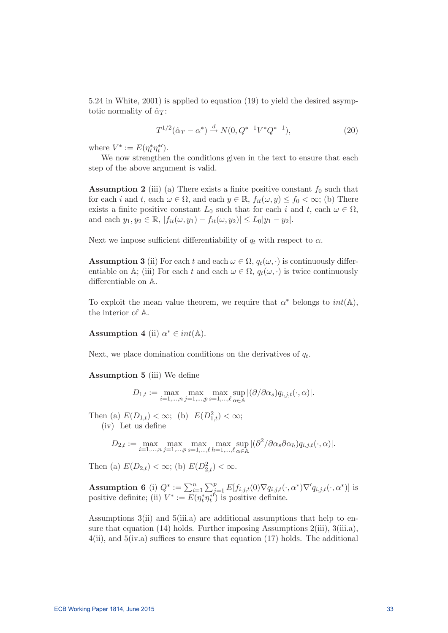5.24 in White, 2001) is applied to equation (19) to yield the desired asymptotic normality of  $\hat{\alpha}_T$ :

$$
T^{1/2}(\hat{\alpha}_T - \alpha^*) \xrightarrow{d} N(0, Q^{*-1}V^*Q^{*-1}), \tag{20}
$$

where  $V^* := E(\eta_t^*\eta_t^*)$ .

We now strengthen the conditions given in the text to ensure that each step of the above argument is valid.

**Assumption 2** (iii) (a) There exists a finite positive constant  $f_0$  such that for each i and t, each  $\omega \in \Omega$ , and each  $y \in \mathbb{R}$ ,  $f_{it}(\omega, y) \leq f_0 < \infty$ ; (b) There exists a finite positive constant  $L_0$  such that for each i and t, each  $\omega \in \Omega$ , and each  $y_1, y_2 \in \mathbb{R}$ ,  $|f_{it}(\omega, y_1) - f_{it}(\omega, y_2)| \leq L_0|y_1 - y_2|$ .

Next we impose sufficient differentiability of  $q_t$  with respect to  $\alpha$ .

**Assumption 3** (ii) For each t and each  $\omega \in \Omega$ ,  $q_t(\omega, \cdot)$  is continuously differentiable on A; (iii) For each t and each  $\omega \in \Omega$ ,  $q_t(\omega, \cdot)$  is twice continuously differentiable on  $\mathbb{A}$ .

To exploit the mean value theorem, we require that  $\alpha^*$  belongs to  $int(\mathbb{A})$ , the interior of A.

Assumption 4 (ii)  $\alpha^* \in int(\mathbb{A})$ .

Next, we place domination conditions on the derivatives of  $q_t$ .

**Assumption 5** (iii) We define

$$
D_{1,t} := \max_{i=1,\dots,n} \max_{j=1,\dots,p} \max_{s=1,\dots,\ell} \sup_{\alpha \in \mathbb{A}} |(\partial/\partial \alpha_s) q_{i,j,t}(\cdot, \alpha)|.
$$

Then (a)  $E(D_{1,t}) < \infty$ ; (b)  $E(D_{1,t}^2) < \infty$ ;

 $(iv)$  Let us define

$$
D_{2,t} := \max_{i=1,\dots,n} \max_{j=1,\dots,p} \max_{s=1,\dots,\ell} \max_{h=1,\dots,\ell} \sup_{\alpha \in \mathbb{A}} |(\partial^2/\partial \alpha_s \partial \alpha_h) q_{i,j,t}(\cdot, \alpha)|.
$$

Then (a)  $E(D_{2,t}) < \infty$ ; (b)  $E(D_{2,t}^2) < \infty$ .

**Assumption 6** (i)  $Q^* := \sum_{i=1}^n \sum_{j=1}^p E[f_{i,j,t}(0) \nabla q_{i,j,t}(\cdot, \alpha^*) \nabla^{\prime} q_{i,j,t}(\cdot, \alpha^*)]$  is positive definite; (ii)  $V^* := E(\eta_t^*\eta_t^*)$  is positive definite.

Assumptions 3(ii) and 5(iii.a) are additional assumptions that help to ensure that equation (14) holds. Further imposing Assumptions 2(iii), 3(iii.a),  $4(ii)$ , and  $5(iv.a)$  suffices to ensure that equation (17) holds. The additional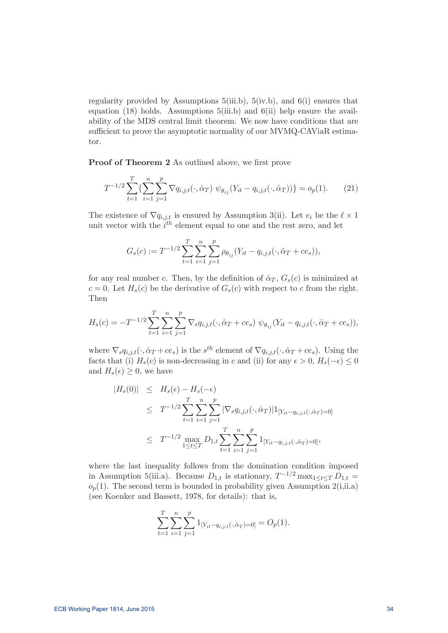regularity provided by Assumptions  $5(iii.b)$ ,  $5(iv.b)$ , and  $6(i)$  ensures that equation (18) holds. Assumptions 5(iii.b) and 6(ii) help ensure the availability of the MDS central limit theorem. We now have conditions that are sufficient to prove the asymptotic normality of our MVMQ-CAViaR estimator.

Proof of Theorem 2 As outlined above, we first prove

$$
T^{-1/2} \sum_{t=1}^{T} \{ \sum_{i=1}^{n} \sum_{j=1}^{p} \nabla q_{i,j,t}(\cdot, \hat{\alpha}_T) \; \psi_{\theta_{ij}}(Y_{it} - q_{i,j,t}(\cdot, \hat{\alpha}_T)) \} = o_p(1). \tag{21}
$$

The existence of  $\nabla q_{i,j,t}$  is ensured by Assumption 3(ii). Let  $e_i$  be the  $\ell \times 1$ unit vector with the  $i<sup>th</sup>$  element equal to one and the rest zero, and let

$$
G_s(c) := T^{-1/2} \sum_{t=1}^T \sum_{i=1}^n \sum_{j=1}^p \rho_{\theta_{ij}} (Y_{it} - q_{i,j,t}(\cdot, \hat{\alpha}_T + c e_s)),
$$

for any real number c. Then, by the definition of  $\hat{\alpha}_T$ ,  $G_s(c)$  is minimized at  $c = 0$ . Let  $H_s(c)$  be the derivative of  $G_s(c)$  with respect to c from the right. Then

$$
H_s(c) = -T^{-1/2} \sum_{t=1}^T \sum_{i=1}^n \sum_{j=1}^p \nabla_s q_{i,j,t}(\cdot, \hat{\alpha}_T + ce_s) \psi_{\theta_{ij}}(Y_{it} - q_{i,j,t}(\cdot, \hat{\alpha}_T + ce_s)),
$$

where  $\nabla_s q_{i,j,t}(\cdot,\hat{\alpha}_T + c e_s)$  is the  $s^{th}$  element of  $\nabla q_{i,j,t}(\cdot,\hat{\alpha}_T + c e_s)$ . Using the facts that (i)  $H_s(c)$  is non-decreasing in c and (ii) for any  $\epsilon > 0$ ,  $H_s(-\epsilon) \leq 0$ and  $H_s(\epsilon) \geq 0$ , we have

$$
|H_s(0)| \leq H_s(\epsilon) - H_s(-\epsilon)
$$
  
\n
$$
\leq T^{-1/2} \sum_{t=1}^T \sum_{i=1}^n \sum_{j=1}^p |\nabla_s q_{i,j,t}(\cdot, \hat{\alpha}_T)| 1_{[Y_{it} - q_{i,j,t}(\cdot, \hat{\alpha}_T) = 0]}
$$
  
\n
$$
\leq T^{-1/2} \max_{1 \leq t \leq T} D_{1,t} \sum_{t=1}^T \sum_{i=1}^n \sum_{j=1}^p 1_{[Y_{it} - q_{i,j,t}(\cdot, \hat{\alpha}_T) = 0]},
$$

where the last inequality follows from the domination condition imposed in Assumption 5(iii.a). Because  $D_{1,t}$  is stationary,  $T^{-1/2}$  max $_{1 \leq t \leq T} D_{1,t}$  =  $o_p(1)$ . The second term is bounded in probability given Assumption 2(i,ii.a) (see Koenker and Bassett, 1978, for details): that is,

$$
\sum_{t=1}^{T} \sum_{i=1}^{n} \sum_{j=1}^{p} 1_{[Y_{it} - q_{i,j,t}(\cdot, \hat{\alpha}_T) = 0]} = O_p(1).
$$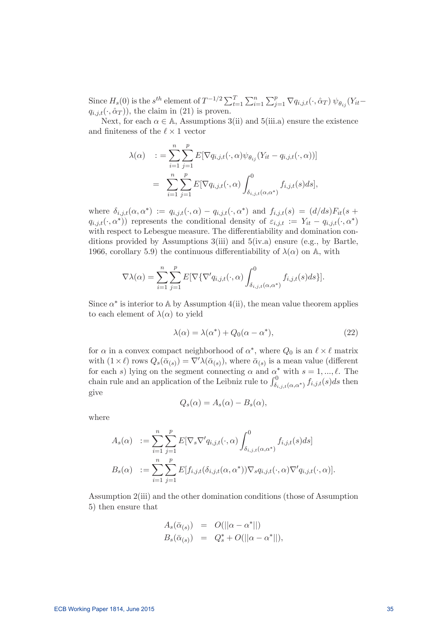Since  $H_s(0)$  is the  $s^{th}$  element of  $T^{-1/2} \sum_{t=1}^T \sum_{i=1}^n \sum_{j=1}^p \nabla q_{i,j,t}(\cdot, \hat{\alpha}_T) \psi_{\theta_{ij}}(Y_{it}$  $q_{i,i,t}(\cdot,\hat{\alpha}_T)$ , the claim in (21) is proven.

Next, for each  $\alpha \in A$ , Assumptions 3(ii) and 5(iii.a) ensure the existence and finiteness of the  $\ell \times 1$  vector

$$
\lambda(\alpha) \quad := \sum_{i=1}^{n} \sum_{j=1}^{p} E[\nabla q_{i,j,t}(\cdot, \alpha) \psi_{\theta_{ij}}(Y_{it} - q_{i,j,t}(\cdot, \alpha))]
$$

$$
= \sum_{i=1}^{n} \sum_{j=1}^{p} E[\nabla q_{i,j,t}(\cdot, \alpha) \int_{\delta_{i,j,t}(\alpha, \alpha^*)}^{0} f_{i,j,t}(s) ds],
$$

where  $\delta_{i,j,t}(\alpha, \alpha^*) := q_{i,j,t}(\cdot, \alpha) - q_{i,j,t}(\cdot, \alpha^*)$  and  $f_{i,j,t}(s) = (d/ds)F_{it}(s +$  $q_{i,j,t}(\cdot,\alpha^*)$  represents the conditional density of  $\varepsilon_{i,j,t} := Y_{it} - q_{i,j,t}(\cdot,\alpha^*)$ with respect to Lebesgue measure. The differentiability and domination conditions provided by Assumptions 3(iii) and 5(iv.a) ensure (e.g., by Bartle, 1966, corollary 5.9) the continuous differentiability of  $\lambda(\alpha)$  on A, with

$$
\nabla \lambda(\alpha) = \sum_{i=1}^{n} \sum_{j=1}^{p} E[\nabla \{\nabla' q_{i,j,t}(\cdot, \alpha) \int_{\delta_{i,j,t}(\alpha, \alpha^*)}^{0} f_{i,j,t}(s) ds \}].
$$

Since  $\alpha^*$  is interior to A by Assumption 4(ii), the mean value theorem applies to each element of  $\lambda(\alpha)$  to yield

$$
\lambda(\alpha) = \lambda(\alpha^*) + Q_0(\alpha - \alpha^*),\tag{22}
$$

for  $\alpha$  in a convex compact neighborhood of  $\alpha^*$ , where  $Q_0$  is an  $\ell \times \ell$  matrix with  $(1 \times \ell)$  rows  $Q_s(\bar{\alpha}_{(s)}) = \nabla' \lambda(\bar{\alpha}_{(s)})$ , where  $\bar{\alpha}_{(s)}$  is a mean value (different for each s) lying on the segment connecting  $\alpha$  and  $\alpha^*$  with  $s = 1, ..., \ell$ . The chain rule and an application of the Leibniz rule to  $\int_{\delta_{i,j,t}(\alpha,\alpha^{*})}^{0} f_{i,j,t}(s)ds$  then give

$$
Q_s(\alpha) = A_s(\alpha) - B_s(\alpha),
$$

where

$$
A_s(\alpha) := \sum_{i=1}^n \sum_{j=1}^p E[\nabla_s \nabla' q_{i,j,t}(\cdot, \alpha) \int_{\delta_{i,j,t}(\alpha, \alpha^*)}^0 f_{i,j,t}(s) ds]
$$
  

$$
B_s(\alpha) := \sum_{i=1}^n \sum_{j=1}^p E[f_{i,j,t}(\delta_{i,j,t}(\alpha, \alpha^*)) \nabla_s q_{i,j,t}(\cdot, \alpha) \nabla' q_{i,j,t}(\cdot, \alpha)].
$$

Assumption 2(iii) and the other domination conditions (those of Assumption 5) then ensure that

$$
A_s(\bar{\alpha}_{(s)}) = O(||\alpha - \alpha^*||)
$$
  
\n
$$
B_s(\bar{\alpha}_{(s)}) = Q_s^* + O(||\alpha - \alpha^*||),
$$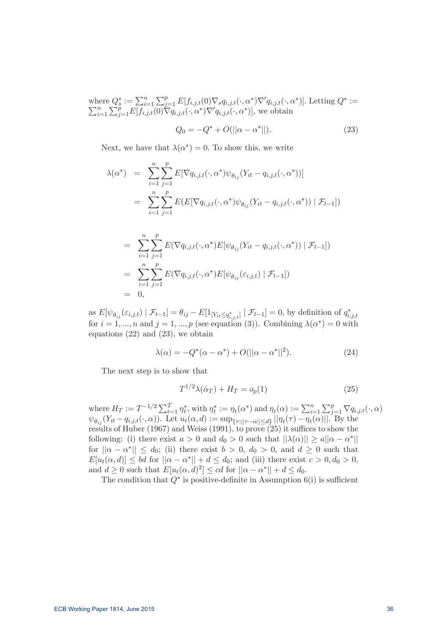where  $Q_s^* := \sum_{i=1}^n \sum_{j=1}^p E[f_{i,j,t}(0) \nabla_s q_{i,j,t}(\cdot, \alpha^*) \nabla' q_{i,j,t}(\cdot, \alpha^*)].$  Letting  $Q^* := \sum_{i=1}^n \sum_{j=1}^p E[f_{i,j,t}(0) \nabla q_{i,j,t}(\cdot, \alpha^*) \nabla' q_{i,j,t}(\cdot, \alpha^*)],$  we obtain  $\sum_{i=1}^n \sum_{j=1}^p E[f_{i,j,t}(0) \nabla q_{i,j,t}(\cdot, \alpha^*) \nabla' q_{i,j,t}(\cdot, \alpha^*)],$  we obtain

$$
Q_0 = -Q^* + O(||\alpha - \alpha^*||). \tag{23}
$$

Next, we have that  $\lambda(\alpha^*)=0$ . To show this, we write

$$
\lambda(\alpha^*) = \sum_{i=1}^n \sum_{j=1}^p E[\nabla q_{i,j,t}(\cdot, \alpha^*) \psi_{\theta_{ij}}(Y_{it} - q_{i,j,t}(\cdot, \alpha^*))]
$$
  

$$
= \sum_{i=1}^n \sum_{j=1}^p E(E[\nabla q_{i,j,t}(\cdot, \alpha^*) \psi_{\theta_{ij}}(Y_{it} - q_{i,j,t}(\cdot, \alpha^*)) | \mathcal{F}_{t-1}])
$$

$$
= \sum_{i=1}^{n} \sum_{j=1}^{p} E(\nabla q_{i,j,t}(\cdot, \alpha^*) E[\psi_{\theta_{ij}}(Y_{it} - q_{i,j,t}(\cdot, \alpha^*)) | \mathcal{F}_{t-1}])
$$
  

$$
= \sum_{i=1}^{n} \sum_{j=1}^{p} E(\nabla q_{i,j,t}(\cdot, \alpha^*) E[\psi_{\theta_{ij}}(\varepsilon_{i,j,t}) | \mathcal{F}_{t-1}])
$$
  

$$
= 0,
$$

as  $E[\psi_{\theta_{ij}}(\varepsilon_{i,j,t}) | \mathcal{F}_{t-1}] = \theta_{ij} - E[1_{[Y_{it} \leq q^*_{i,j,t}]} | \mathcal{F}_{t-1}] = 0$ , by definition of  $q^*_{i,j,t}$ for  $i = 1, ..., n$  and  $j = 1, ..., p$  (see equation (3)). Combining  $\lambda(\alpha^*)=0$  with equations (22) and (23), we obtain

$$
\lambda(\alpha) = -Q^*(\alpha - \alpha^*) + O(||\alpha - \alpha^*||^2). \tag{24}
$$

The next step is to show that

$$
T^{1/2}\lambda(\hat{\alpha}_T) + H_T = o_p(1) \tag{25}
$$

where  $H_T := T^{-1/2} \sum_{t=1}^T \eta_t^*$ , with  $\eta_t^* := \eta_t(\alpha^*)$  and  $\eta_t(\alpha) := \sum_{i=1}^n \sum_{j=1}^p \nabla q_{i,j,t}(\cdot, \alpha)$  $\psi_{\theta_{ij}}(Y_{it}-q_{i,j,t}(\cdot,\alpha)).$  Let  $u_t(\alpha,d) := \sup_{\{\tau:||\tau-\alpha||\leq d\}} ||\eta_t(\tau)-\eta_t(\alpha)||$ . By the results of Huber (1967) and Weiss (1991), to prove  $(25)$  it suffices to show the following: (i) there exist  $a > 0$  and  $d_0 > 0$  such that  $||\lambda(\alpha)|| \ge a||\alpha - \alpha^*||$ for  $||\alpha - \alpha^*|| \leq d_0$ ; (ii) there exist  $b > 0$ ,  $d_0 > 0$ , and  $d \geq 0$  such that  $E[u_t(\alpha, d)] \leq bd$  for  $||\alpha - \alpha^*|| + d \leq d_0$ ; and (iii) there exist  $c > 0, d_0 > 0$ , and  $d \geq 0$  such that  $E[u_t(\alpha, d)^2] \leq cd$  for  $||\alpha - \alpha^*|| + d \leq d_0$ .

The condition that  $Q^*$  is positive-definite in Assumption 6(i) is sufficient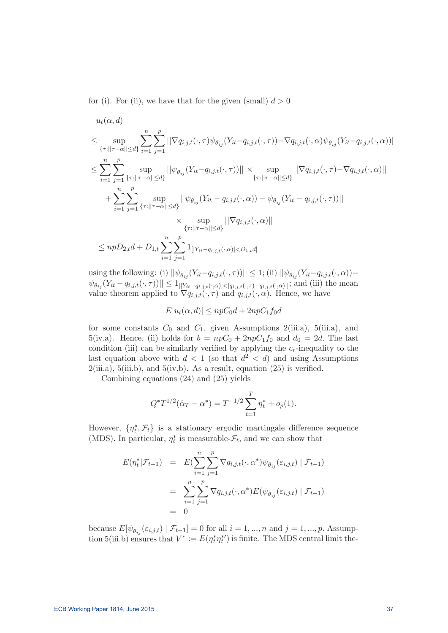for (i). For (ii), we have that for the given (small)  $d > 0$ 

$$
u_{t}(\alpha, d)
$$
\n
$$
\leq \sup_{\{\tau:||\tau-\alpha||\leq d\}} \sum_{i=1}^{n} \sum_{j=1}^{p} ||\nabla q_{i,j,t}(\cdot, \tau) \psi_{\theta_{ij}}(Y_{it} - q_{i,j,t}(\cdot, \tau)) - \nabla q_{i,j,t}(\cdot, \alpha) \psi_{\theta_{ij}}(Y_{it} - q_{i,j,t}(\cdot, \alpha))||
$$
\n
$$
\leq \sum_{i=1}^{n} \sum_{j=1}^{p} \sup_{\{\tau:||\tau-\alpha||\leq d\}} ||\psi_{\theta_{ij}}(Y_{it} - q_{i,j,t}(\cdot, \tau))|| \times \sup_{\{\tau:||\tau-\alpha||\leq d\}} ||\nabla q_{i,j,t}(\cdot, \tau) - \nabla q_{i,j,t}(\cdot, \alpha)||
$$
\n
$$
+ \sum_{i=1}^{n} \sum_{j=1}^{p} \sup_{\{\tau:||\tau-\alpha||\leq d\}} ||\psi_{\theta_{ij}}(Y_{it} - q_{i,j,t}(\cdot, \alpha)) - \psi_{\theta_{ij}}(Y_{it} - q_{i,j,t}(\cdot, \tau))||
$$
\n
$$
\times \sup_{\{\tau:||\tau-\alpha||\leq d\}} ||\nabla q_{i,j,t}(\cdot, \alpha)||
$$
\n
$$
\leq npD_{2,t}d + D_{1,t} \sum_{i=1}^{n} \sum_{j=1}^{p} 1_{[[Y_{it} - q_{i,j,t}(\cdot, \alpha)] < D_{1,t}d]}
$$

using the following: (i)  $||\psi_{\theta_{ij}}(Y_{it}-q_{i,j,t}(\cdot,\tau))|| \leq 1$ ; (ii)  $||\psi_{\theta_{ij}}(Y_{it}-q_{i,j,t}(\cdot,\alpha)) \|\psi_{\theta_{ij}}(Y_{it}-q_{i,j,t}(\cdot,\tau))\| \leq 1_{\left[\frac{|Y_{it}-q_{i,j,t}(\cdot,\alpha)|<|q_{i,j,t}(\cdot,\tau)-q_{i,j,t}(\cdot,\alpha)|\right]};}$  and (iii) the mean value theorem applied to  $\nabla q_{i,j,t}(\cdot, \tau)$  and  $q_{i,j,t}(\cdot, \alpha)$ . Hence, we have

 $E[u_t(\alpha,d)] \leq npC_0d + 2npC_1f_0d$ 

for some constants  $C_0$  and  $C_1$ , given Assumptions 2(iii.a), 5(iii.a), and 5(iv.a). Hence, (ii) holds for  $b = npC_0 + 2npC_1f_0$  and  $d_0 = 2d$ . The last condition (iii) can be similarly verified by applying the  $c_r$ -inequality to the last equation above with  $d < 1$  (so that  $d^2 < d$ ) and using Assumptions  $2(iii.a), 5(iii.b), and 5(iv.b).$  As a result, equation  $(25)$  is verified.

Combining equations (24) and (25) yields

$$
Q^*T^{1/2}(\hat{\alpha}_T - \alpha^*) = T^{-1/2} \sum_{t=1}^T \eta_t^* + o_p(1).
$$

However,  $\{\eta_t^*, \mathcal{F}_t\}$  is a stationary ergodic martingale difference sequence (MDS). In particular,  $\eta_t^*$  is measurable- $\mathcal{F}_t$ , and we can show that

$$
E(\eta_t^*|\mathcal{F}_{t-1}) = E(\sum_{i=1}^n \sum_{j=1}^p \nabla q_{i,j,t}(\cdot, \alpha^*) \psi_{\theta_{ij}}(\varepsilon_{i,j,t}) | \mathcal{F}_{t-1})
$$
  

$$
= \sum_{i=1}^n \sum_{j=1}^p \nabla q_{i,j,t}(\cdot, \alpha^*) E(\psi_{\theta_{ij}}(\varepsilon_{i,j,t}) | \mathcal{F}_{t-1})
$$
  

$$
= 0
$$

because  $E[\psi_{\theta_{ij}}(\varepsilon_{i,j,t}) | \mathcal{F}_{t-1}] = 0$  for all  $i = 1, ..., n$  and  $j = 1, ..., p$ . Assumption 5(iii.b) ensures that  $V^* := E(\eta_t^*\eta_t^*)$  is finite. The MDS central limit the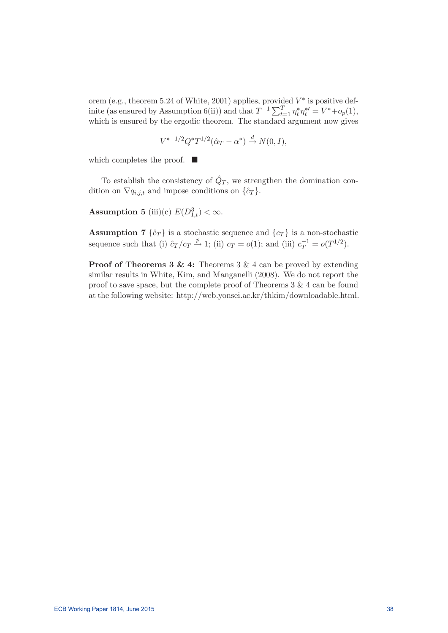orem (e.g., theorem 5.24 of White, 2001) applies, provided  $V^*$  is positive definite (as ensured by Assumption 6(ii)) and that  $T^{-1} \sum_{t=1}^{T} \eta_t^* \eta_t^{*'} = V^* + o_p(1)$ , which is ensured by the ergodic theorem. The standard argument now gives

$$
V^{*-1/2}Q^*T^{1/2}(\hat{\alpha}_T - \alpha^*) \stackrel{d}{\to} N(0, I),
$$

which completes the proof.  $\blacksquare$ 

To establish the consistency of  $\hat{Q}_T$ , we strengthen the domination condition on  $\nabla q_{i,j,t}$  and impose conditions on  $\{\hat{c}_T\}$ .

Assumption 5 (iii)(c)  $E(D_{1,t}^3) < \infty$ .

**Assumption 7**  $\{\hat{c}_T\}$  is a stochastic sequence and  $\{c_T\}$  is a non-stochastic sequence such that (i)  $\hat{c}_T/c_T \stackrel{p}{\rightarrow} 1$ ; (ii)  $c_T = o(1)$ ; and (iii)  $c_T^{-1} = o(T^{1/2})$ .

**Proof of Theorems 3 & 4:** Theorems 3 & 4 can be proved by extending similar results in White, Kim, and Manganelli (2008). We do not report the proof to save space, but the complete proof of Theorems 3 & 4 can be found at the following website: http://web.yonsei.ac.kr/thkim/downloadable.html.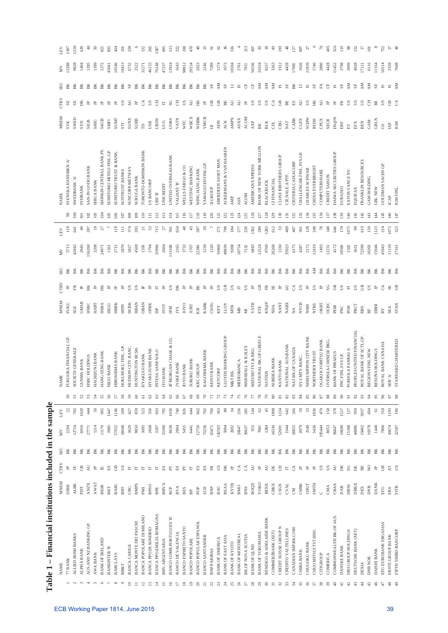|                          | Table 1 - Financial institutions included in the sample |                            |                              |            |              |                  |                     |                                  |                        |                                     |          |               |                       |                    |                                              |                                               |             |             |              |                  |
|--------------------------|---------------------------------------------------------|----------------------------|------------------------------|------------|--------------|------------------|---------------------|----------------------------------|------------------------|-------------------------------------|----------|---------------|-----------------------|--------------------|----------------------------------------------|-----------------------------------------------|-------------|-------------|--------------|------------------|
|                          | <b>NAME</b>                                             | <b>MNEM</b>                | <b>CTRY</b>                  | <b>SEC</b> | $\gtrapprox$ | LEV              |                     | <b>NAME</b>                      | <b>MNEM</b>            | <b>CTRY</b>                         | SEC      | Š             | LEV                   |                    | <b>NAME</b>                                  | <b>MNEM</b>                                   | <b>CTRY</b> | SEC         | ΧN           | LEV              |
|                          | 77 BANK                                                 | SSBK                       | 山                            | ВK         | 2294         | $\overline{c}$   | $\mathcal{S}$       | FUKUOKA FINANCIAL GP.            | FUKU                   | 山                                   | BK       | 3713          | $\frac{1}{2}$         |                    | SVENSKA HANDBKN.'A'                          | <b>SVK</b>                                    | SE          | ВK          | 13288        | 1397             |
|                          | ALLIED IRISH BANKS                                      | <b>ALBK</b>                | $\mathop{_\square}\nolimits$ | BK         | 12724        | 765              | 51                  | SOCIETE GENERALE                 | SGE                    | E                                   | ВK       | 42042         | $\overline{a}$        | $\geq$             | <b>NAMEDBANK A</b>                           | SWED                                          | SE          | BK          | 9828         | 1230             |
|                          | ALPHA BANK                                              | PIST                       | õ                            | ВK         | 6916         | 1020             | $\mathcal{S}^2$     | <b>GUNMA BANK</b>                | GMAB                   | $\approx$                           | ВK       | 2845          | $\Theta$              | $\overline{a}$     | <b>SYDBANK</b>                               | <b>GXS</b>                                    | БK          | ВK          | 1404         | 620              |
|                          | AUS. AND NZ. BANKING GP                                 | <b>ANZX</b>                | Ę                            | ВK         | 27771        | 444              | S                   | HSBC HOLDINGS                    | HSBC                   | Ĕ                                   | ВK       | 56260         | 287                   | $\approx$          | SAN-IN GODO BANK                             | SIGB                                          | 乌           | ВK          | 1285         |                  |
| $\circ$                  | <b>BANK OF IRELAND</b><br><b>AWA BANK</b>               | <b>AWAT</b><br><b>BKIR</b> | 乌<br>$\mathbb{E}$            | ВK<br>ВK   | 1314<br>1170 | 50<br>905        | 24<br>55            | HANG SENG BANK<br>HACHIJUNI BANK | HABT<br><b>HSBA</b>    | HK<br>$\approx$                     | ВK<br>BK | 3208<br>24971 | $\overline{18}$<br>27 | 104<br>$\tilde{e}$ | SHINKIN CENTRAL BANK PF<br><b>SHIGA BANK</b> | <b>SKCB</b><br>SHIG                           | 乌<br>乌      | ВK<br>BK    | 1372<br>1399 | 8<br>821         |
|                          | <b>BANKINTER 'R'</b>                                    | BKT                        | $_{\rm ES}$                  | ВK         | 3985         | 1447             | 56                  | <b>HIGO BANK</b>                 | <b>HIGO</b>            | 乌                                   | BK       | 1361          |                       | 105                | SUMITOMO MITSUI FINL.GP.                     | <b>SMFI</b>                                   | $\approx$   | ВK          | 45061        | 835              |
| $\infty$                 | <b>BARCLAYS</b>                                         | BARC                       | GB                           | ВK         | 57032        | 1146             | 57                  | HIROSHIMA BANK                   | <b>HRBK</b>            | $\approx$                           | BK       | 2713          | 119                   | 106                | <b>SUMITOMO TRUST &amp; BANK</b>             | <b>SUMT</b>                                   | 乌           | ВK          | 10546        | 434              |
|                          | <b>BB&amp;T</b>                                         | BBT                        | S                            | ВK         | 18048        | 209              | 58                  | HOKUHOKU FINL GP                 | <b>HFIN</b>            | $\approx$                           | BK       | 2870          | $\Xi$                 | Ξ                  | <b>SUNTRUST BANKS</b>                        | STI                                           | $_{\rm SS}$ | BK          | 19413        | $\overline{20}$  |
| $\subseteq$              | <b>BANCA CARIGE</b>                                     | <b>CRG</b>                 | E                            | ВK         | 3629         | 427              | 59                  | HUDSON CITY BANC                 | <b>HCBK</b>            | US.                                 | BK       | 5827          | 374                   | 108                | SUNCORP-METWAY                               | <b>SUNX</b>                                   | QV          | $_{\rm SF}$ | 6732         | 259              |
|                          | BANCA MONTE DEI PASCHI                                  | <b>BNPS</b>                | E                            | Ж          | 9850         | 859              | 8                   | HUNTINGTON BCSH.                 | HBAN                   | S                                   | ВK       | 4569          | 203                   | 109                | <b>SURUGA BANK</b>                           | <b>SURB</b>                                   | 乌           | ВK          | 2522         |                  |
| $\overline{c}$           | BANCA POPOLARE DI MILANO                                | <b>IMG</b>                 | E                            | BK         | 3095         | 523              | $\overline{6}$      | HYAKUGO BANK                     | <b>OBAN</b>            |                                     | BK       | 1350          | $\overline{c}$        | $\overline{110}$   | TORONTO-DOMINION BANK                        | $\beta$                                       | ే           | БK          | 31271        | $\overline{132}$ |
| $\overline{3}$           | <b>BANCA PPO.DI SONDRIO</b>                             | <b>BPSO</b>                | E                            | ВK         | 2608         | 350              | 2                   | HY AKUJUSHI BANK                 | OFBK                   | $\approx$                           | ВK       | 1794          | 53                    | $\equiv$           | <b>US BANCORP</b>                            | USB                                           | S           | BK          | 46133        | 265              |
| $\overline{z}$           | BANCA PPO EMILIA ROMAGNA                                | BPE                        | E                            | ВK         | 3397         | 693              | S                   | INTESA SANPAOLO                  | $_{\rm ISP}$           | E                                   | BK       | 35996         | 715                   | 112                | UBS 'R'                                      | <b>UBSN</b>                                   | 舌           | BK          | 76148        | 1587             |
| $\overline{15}$          | BBV.ARGENTARIA                                          | <b>BBVA</b>                | $\mathbb{E}S$                | ВK         | 53390        | 795              | ₹                   | IYO BANK                         | IVOT                   | $\approx$                           | BK       | 2604          | 27                    | $\frac{3}{2}$      | UNICREDIT                                    | UCG                                           | E           | ВK          | 47237        | 695              |
| $\geq$                   | <b>BANCO COMR.PORTUGUES 'R</b>                          | BCP                        | E                            | ВK         | 8638         | 1030             | 65                  | JP MORGAN CHASE & CO.            | IPM                    | S                                   | BK       | 113168        | 391                   | $\frac{4}{11}$     | UNITED OVERSEAS BANK                         | UOBS                                          | SG          | ВK          | 13924        | 215              |
| $\overline{\phantom{0}}$ | BANCO DE VALENCIA                                       | <b>BVA</b>                 | $_{\rm ES}$                  | BK         | 2904         | 740              | 8                   | JYSKE BANK                       | <b>IYS</b>             | ĎК                                  | BK       | 2165          | 654                   | 115                | VALIANT <sup>R</sup>                         | VATN                                          | ₹           | ВK          | 1643         | 322              |
| $\frac{8}{2}$            | <b>BANCO ESPIRITO SANTO</b>                             | BES                        | E                            | ВK         | 5455         | 826              | 67                  | JOYO BANK                        | <b>OXOI</b>            | $\mathrel{\mathop{\triangleright}}$ | BK       | 3732          | 48                    | 116                | WELLS FARGO & CO                             | <b>WFC</b>                                    | ĽS          | ВK          | 98812        | 260              |
| $\overline{19}$          | <b>BANCO POPOLARE</b>                                   | BP                         | E                            | ВK         | 6441         | <b>644</b>       | $\frac{8}{2}$       | JUROKU BANK                      | JURT                   | A                                   | BK       | 1707          | 43                    | $\overline{11}$    | WESTPAC BANKING                              | WBCX                                          | ₹           | BK          | 29154        | 470              |
| $\approx$                | BANCO POPULAR ESPANOL                                   | POP                        | ES                           | BK         | 12750        | 662              | 69                  | KBC GROUP                        | KB                     | BE                                  | BK       | 22340         | 587                   | $\frac{8}{18}$     | WING HANG BANK                               | WHBK                                          | HK          | BK          | 2023         | $\theta$         |
| $\overline{z}$           | <b>BANCO SANTANDER</b>                                  | SCH                        | $_{\rm ES}$                  | ВK         | 73236        | 702              | R                   | KAGOSHIMA BANK                   | KABK                   | 乌                                   | ВK       | 1239          | 29                    | $\frac{1}{2}$      | YAMAGUCHI FINL GP                            | <b>YMCB</b>                                   | 白           | ВK          | 2246         | $\mathbb{Z}$     |
| $\mathbb{Z}$             | <b>BNP PARIBAS</b>                                      | <b>BNP</b>                 | E                            | ВK         | 63471        | $700\,$          |                     | KEIYO BANK                       | CSOG                   | $\approx$                           | BK       | 1220          |                       | 20                 | <b>SIGROUP</b>                               | $\equiv$                                      | පී          | $S_{\rm F}$ | 7289         | $\overline{6}$   |
| $\mathbb{Z}^2$           | <b>BANK OF AMERICA</b>                                  | BAC                        | S                            | ВK         | 142503       | 363              | $\mathbb{R}^2$      | <b>KEYCORP</b>                   | KEY                    | US                                  | BK       | 10460         | 271                   | $\overline{21}$    | ABERDEEN ASSET MAN.                          | <b>ADN</b>                                    | පී          | ÅМ          | 1274         | $\mathcal{C}$    |
| $\frac{1}{2}$            | BANK OF EAST ASIA                                       | <b>BEAA</b>                | HK                           | BK         | 5094         | 88               | 73                  | LLOYDS BANKING GROUP             | <b>LLOY</b>            | GB                                  | BK       | 48830         | 798                   | 122                | ACKERMANS & VAN HAAREN                       | ACK                                           | BE          | SF          | 1673         | 36               |
| $\mathbb{Z}^2$           | <b>BANK OF KYOTO</b>                                    | <b>KYTB</b>                | 山                            | ВK         | 2692         | $\frac{4}{3}$    | Ħ                   | M&T BK.                          | <b>NTB</b>             | S                                   | BK       | 9208          | 184                   | 23                 | AMP                                          | <b>AMPX</b>                                   | QV          | Ξ           | 10594        | 316              |
| 26                       | <b>BANK OF MONTREAL</b>                                 | BMO                        | ే                            | ВK         | 20647        | 256              | 75                  | MEDIOBANCA                       | $_{\rm MB}$            | $\mathbb H$                         | BK       | 10754         | 577                   | 124                | ASX                                          | <b>ASXX</b>                                   | Z           | ß           | 2761         |                  |
| $\overline{z}$           | <b>BK.OF NOVA SCOTIA</b>                                | BNS                        | ే                            | ВK         | 30637        | 285              | 76                  | MARSHALL & ILSLEY                | $\overline{\rm M}$     | <b>SD</b>                           | BK       | 7132          | 226                   | 25                 | <b>ACOM</b>                                  | <b>ACOM</b>                                   | 乌           | ö           | <b>7911</b>  | 213              |
| $^{28}$                  | <b>BANK OF QLND.</b>                                    | <b>BOQX</b>                | QV                           | BK         | 955          | $14$             | F                   | MIZUHO TST. & BKG.               | YATR                   | 白                                   | BK       | 6843          | 1562                  | 126                | AMERICAN EXPRESS                             | $\ensuremath{\mathsf{A}\mathsf{X}\mathsf{P}}$ | ĽS          | ö           | 56536        | 407              |
| $_{29}$                  | <b>BANK OF YOKOHAMA</b>                                 | УОКО                       | 鸟                            | ВK         | 7081         | 62               | $\frac{8}{2}$       | NATIONAL BK.OF GREECE            | ETE                    | õ                                   | ВK       | 12524         | 289                   | $\overline{27}$    | BANK OF NEW YORK MELLON                      | BK                                            | S           | ΚŅ          | 31034        | 93               |
| ್ಲ                       | BENDIGO & ADELAIDE BANK                                 | <b>BENX</b>                | Ę                            | ВK         | 1284         | 45               | $\mathbb{R}$        | <b>NATIXIS</b>                   | $\text{KN@F}$          | Æ                                   | ВK       | 9709          | 1283                  | 28                 | <b>BLACKROCK</b>                             | $_{\rm BLK}$                                  | S           | ΚN          | 9237         | $\overline{18}$  |
| $\overline{3}$           | COMMERZBANK (XET)                                       | CBKX                       | E                            | BK         | 14330        | 1908             | 80                  | NORDEA BANK                      | NDA                    | SE <sub></sub>                      | BK       | 26268         | 612                   | 29                 | <b>CI FINANCIAL</b>                          | CIX                                           | ే           | ΚX          | 3263         | $\frac{1}{2}$    |
| $\mathfrak{L}$           | CREDIT SUISSE GROUP N                                   | CSGN                       | 품                            | BK         | 52691        | 1224             | $\overline{\infty}$ | NANTO BANK                       | <b>NANT</b>            | $\approx$                           | BK       | 1330          | S                     | 30                 | CLOSE BROTHERS GROUP                         | <b>CBG</b>                                    | පී          | 5           | 1912         | $\widetilde{5}$  |
| 33                       | CREDITO VALTELLINES                                     | <b>CVAL</b>                | $\mathbb H$                  | ВK         | 1044         | $\mathfrak{A}^2$ | 82                  | NATIONAL AUS.BANK                | <b>NABX</b>            | $\lambda$ U                         | BK       | 35923         | 489                   | $\overline{5}$     | CIENALEAPTF.                                 | NAT                                           | 岊           | 5F          | 4428         | 48               |
| 24                       | CANADIAN IMP.BK.COM                                     | <b>E</b>                   | ే                            | ВK         | 18855        | 266              | S <sub>3</sub>      | NAT.BK.OF CANADA                 | $\leq$                 | ే                                   | ВK       | 6175          | 487                   | $\overline{32}$    | CRITERIA CAIXACORP                           | CABK                                          | $_{\rm ES}$ | ВK          | 17005        | $\overline{127}$ |
| 35                       | <b>CHIBA BANK</b>                                       | CHBK                       |                              | ВK         | 4979         | 59               | $\mathfrak{A}$      | NY.CMTY.BANC.                    | <b>NYCB</b>            | S                                   | BK       | 4287          | 301                   | 133                | CHALLENGER FINL.SVS.GP.                      | CGFX                                          | ΚU          | E           | 1026         | 807              |
| 96                       | CHUGOKU BANK                                            | <b>CHUT</b>                | 白                            | BK         | 2549         | $\mathfrak{B}$   | 85                  | NISHI-NIPPON CITY BANK           | <b>NSHI</b>            | $\mathbb{H}$                        | BK       | 2172          | 128                   | 134                | CHARLES SCHWAB                               | SCHW                                          | Ľ           | R           | 21839        | 21               |
| $\mathbb{Z}$             | CHUO MITSUI TST.HDG.                                    | <b>SMTH</b>                | 乌                            | ВK         | 5436         | 1836             | 86                  | NORTHERN TRUST                   | <b>NTRS</b>            | S                                   | ΧŅ       | 12419         | 248                   | 135                | <b>CHINA EVERBRIGHT</b>                      | <b>IHDH</b>                                   | Ě           | 55          | 1746         |                  |
|                          | CITIGROUP                                               |                            | <b>US</b>                    | ВK         | 95444        | 479              | 2                   | OGAKI KYORITSU BANK              | <b>OKBT</b>            | 乌                                   | BK       | 1493          | 78                    | 36                 | COMPUTERSHARE                                | CPUX                                          | Ę           | £           | 2880         | 76               |
|                          | COMERICA                                                | CMA                        | ĽS                           | ВK         | 8053         | 158              | 88                  | OVERSEA-CHINESE BKG              | ОСВС                   | SG                                  | BK       | 12231         | 148                   | $\overline{37}$    | CREDIT SAISON                                | <b>SECR</b>                                   | 白           | ö           | 4428         | 405              |
| ₽                        | COMMONWEALTH BK.OF AUS.                                 | CBAX                       | $\overline{A}$               | ВK         | 36847        | 378              | 89                  | BANK OF PIRAEUS                  | PEIR                   | $\widetilde{\mathbb{G}}$            | BK       | 4172          | 646                   | 138                | DAIWA SECURITIES GROUP                       | DS@N                                          | 白           | R           | 11452        | 526              |
|                          | DANSKE BANK                                             | DAB                        | БK                           | BK         | 16690        | 1527             | 8                   | PNC FINL.SVS.GP.                 | PNC                    | S                                   | BK       | 18560         | 179                   | [39]               | EURAZEO                                      | $_{\rm \rm ERF}$                              | E           | 55          | 3798         | $\approx$        |
| ₽                        | DBS GROUP HOLDINGS                                      | DBSS                       | $_{\rm SG}$                  | BK         | 15398        | 127              |                     | POHJOLA PANKKI A                 | <b>POH</b>             | $\overline{\text{h}}$               | BK       | 1502          | 1075                  | $\overline{4}$     | EATON VANCE NV                               | $\mathbb{E}\mathsf{V}$                        | <b>SD</b>   | ΚŊ          | 3009         | 88               |
|                          | DEUTSCHE BANK (XET)                                     | DBKX                       | 呂                            | BK         | 46986        | 959              | 92                  | PEOPLES UNITED FINANCIAL         | PBCT                   | S                                   | BK       | 3631          | 99                    | $\overline{4}$     | EQUIFAX                                      | EFX                                           | ĽS          | 5F          | 4028         | 152              |
| 聿                        | DEXIA                                                   | DEX                        | $_{\rm BE}$                  | BK         | 19402        | 3037             | $\mathfrak{S}$      | ROYAL BANK OF SCTL GP.           | <b>RBS</b>             | GB                                  | BK       | 72590         | 619                   | 142                | FRANKLIN RESOURCES                           | BEN                                           | <b>US</b>   | ΚŅ          | 17121        | Ξ                |
|                          | DNB NOR                                                 | DNB                        | $\frac{1}{2}$                | ВK         | 10378        | 694              | ੜ                   | REGIONS FINL.NEW                 | RF                     | US                                  | BK       | 10203         | 159                   | 143                | GAM HOLDING                                  | GAM                                           | Ŧ           | ă           | 6116         | $\Xi$            |
| ≆                        | DAISHI BANK                                             | <b>DANK</b>                | 乌                            | ВK         | 1440         | $\overline{6}$   |                     | RESONA HOLDINGS                  | DBHI                   | 乌                                   | ВK       | 15946         | 1123                  | 144                | GBL NEW                                      | <b>GBLN</b>                                   | BE          | 5F          | 11164        | $\infty$         |
|                          | EFG EUROBANK ERGASIAS                                   | EFG                        | õ                            | ВK         | 7806         | 518              | 86                  | ROYAL BANK CANADA                | $\mathbb{R}\mathbb{Y}$ | $\mathcal{L}$                       | BK       | 41843         | 214                   | 145                | GOLDMAN SACHS GP                             | GS                                            | S           | R           | 56514        | 752              |
| 48                       | ERSTE GROUP BANK                                        | ERS                        | $\rm \chi T$                 | ВK         | 10674        | 1193             | 57                  | k<br><b>SEB</b>                  | SEA                    | $\rm SE$                            | BK       | 11159         | 1073                  | 146                | ICAP                                         | $\ensuremath{\mbox{\textbf{IA}}}\xspace$      | GB          | Ŋ           | 3359         | 57               |
| $\frac{9}{4}$            | FIFTH THIRD BANCORP                                     | <b>FITB</b>                | US                           | BK         | 22587        | 196              |                     | STANDARD CHARTERED               | <b>STAN</b>            | GB                                  | BK       | 27161         | 323                   | 147                | IGM FINL                                     | IGM                                           | ే           | AM          | 7608         | $\frac{4}{5}$    |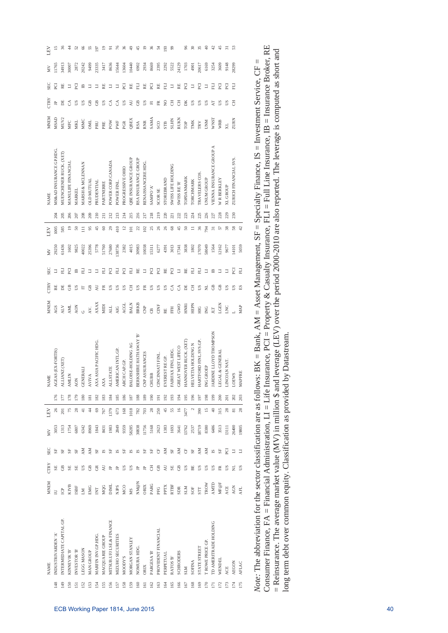|                 | <b>NAME</b>               | <b>MANEM</b>                                   | <b>CTRY</b> | <b>SEC</b>         | ΧŅ    | LEV             |                | <b>NAME</b>                   | <b>MNEM</b>    | <b>CTRY</b> | <b>SEC</b> | Š     | LEV                     |                  | <b>NAME</b>                     | <b>MNEM</b>      | <b>CTRY</b> | <b>SEC</b> | ΧŅ         | ГEЛ            |
|-----------------|---------------------------|------------------------------------------------|-------------|--------------------|-------|-----------------|----------------|-------------------------------|----------------|-------------|------------|-------|-------------------------|------------------|---------------------------------|------------------|-------------|------------|------------|----------------|
| $\frac{48}{5}$  | INDUSTRIVARDEN'A'         |                                                | SE          | 55                 | 3053  | 26              | 176            | AGEAS (EX-FORTIS)             | AGS            | BE          | E          | 29250 | 1005                    | 204              | MS&AD INSURANCE GP.HDG.         | <b>MSAD</b>      |             | ē          | 11765      | 15             |
| $\frac{1}{2}$   | INTERMEDIATE CAPITAL GP.  | è                                              | GB          | 5F                 | 1313  | 201             | E              | ALLIANZ (XET)                 | <b>ALV</b>     | Б           | Ε          | 61436 | 585                     | 205              | MUENCHENER RUCK. (XET)          | MUV <sub>2</sub> | E           | RE         | 34913      | 36             |
| 30              | <b>KINNEVIK B</b>         | KIVB                                           | SE          | 55                 | 1754  | 75              | 178            | <b>AMLIN</b>                  | HNI.           | GB          | ECI        | 1602  | $\overline{0}$          | 206              | MANULIFE FINANCIAL              | <b>MFC</b>       | ే           | コ          | 30007      | \$             |
| $\overline{5}$  | INVESTOR 'B'              | <b>ISBF</b>                                    | SE          | 55                 | 6807  | 28              | 179            | <b>AON</b>                    | <b>AON</b>     | S           | 兽          | 9825  | 50                      | 207              | MARKEL                          | ZКI              | S           | R          | 2872       | S              |
| 52              | <b>LEGG MASON</b>         | N                                              | S           | ΚŇ                 | 6342  | $\frac{1}{4}$   | 180            | <b>GENERALI</b>               |                | E           | 긑          | 40022 | Ξ                       | 208              | MARSH & MCLENNAN                | <b>MMC</b>       | S           | В          | 20242      | 8              |
| 53              | MAN GROUP                 | EMG                                            | GB          | ΚŅ                 | 8969  | $\frac{4}{4}$   | $\overline{8}$ | <b>AVIVA</b>                  | ÄV.            | GB          | $\Box$     | 25396 | 95                      | 209              | <b>OLD MUTUAL</b>               | <b>INC</b>       | පී          | $\Box$     | 9499       | 55             |
| $\frac{1}{2}$   | MARFIN INV.GP.HDG.        | E                                              | GR          | 5F                 | 1843  | 69              | 182            | AXA ASIA PACIFIC HDG          | <b>AXAX</b>    | Q           | Ξ          | 5778  | 45                      | 210              | PRUDENTIAL                      | PRU              | පි          | ∃          | 23335      | 2              |
| 55              | MACQUARIE GROUP           | <b>MQG</b>                                     | Z           | $^{15}$            | 8431  | 767             | 183            | <b>AXA</b>                    | NIDI           | £           | 긑          | 51760 | 3                       | $\overline{211}$ | PARTNERRE                       | PRE              | <b>S</b>    | RE         | 3417       | $\tilde{=}$    |
| 56              | MITSUB.UFJ LSE. & FINANCE | DIMIL                                          |             | 5F                 | 1983  | 1379            | ≊              | <b>ALLSTATE</b>               | ALL            | S           | ECI        | 27680 | 29                      | 212              | POWER CORP.CANADA               | POW              | ే           | $\Box$     | 8636       | ᇹ              |
| 57              | MIZUHO SECURITIES         | <b>NJPS</b>                                    |             | $_{\rm IS}$        | 2849  | 673             | 185            | AMERICAN INTL.GP              | AIG            | S           | E          | 38736 | 410                     | 213              | POWER FINL.                     | PWF              | ే           | $\Box$     | 15644      | 76             |
| $\frac{58}{2}$  | <b>MOODY'S</b>            | <b>MCO</b>                                     | S           | 55                 | 9359  | 168             | 186            | ARCH CAP.GP.                  | <b>ACGL</b>    | S           | ECI        | 2382  | $\overline{c}$          | 214              | PROGRESSIVE OHIO                | PGR              | S           | EQ         | 13604      | 36             |
| S)              | MORGAN STANLEY            | MS                                             | S           | $^{15}$            | 58285 | 1018            | 187            | BALOISE-HOLDING AG            | <b>BALN</b>    | 품           | F          | 4015  | Ξ                       | 215              | <b>QBE INSURANCE GROUP</b>      | QBEX             | Ę           | RE         | 10440      | ₽              |
| 8               | NOMURA HDG.               | $\mathbf{N}\mathfrak{A}\mathfrak{G}\mathbf{N}$ |             | N                  | 30838 | 782             | 188            | BERKSHIRE HATHAWAY 'B'        | BRKB           | <b>US</b>   | RE         | 30983 | 22                      | 216              | RSA INSURANCE GROUP             | RSA              | GB          | 巨          | 6902       | 45             |
| $\overline{6}$  | ORIX                      | ORIX                                           |             | 5F                 | 11756 | 703             | 189            | <b>ASSURANCES</b><br>E.       | $\overline{5}$ | £           | ∃          | 10038 | 102                     | 217              | RENAISSANCERE HDG               | <b>RNR</b>       | US          | RE         | 2934       | $\overline{0}$ |
| $\mathcal{S}$   | PARGESA'B'                | PARG                                           | ᅗ           | 5F                 | 5168  | 28              | $\frac{8}{2}$  | <b>CHUBB</b>                  | CB             | S           | E          | 15311 | 25                      | 218              | <b>K. OdNNS</b>                 | <b>SAMA</b>      | E           | EQ         | 8669       | 36             |
| $\mathcal{C}$   | PROVIDENT FINANCIAL       | PFG                                            | GB          | ö                  | 2623  | 250             | $\overline{5}$ | <b>CINCINNATI FINI</b>        | CINF           | S           | ē          | 6277  | 26                      | 219              | <b>SCORSE</b>                   | SCO              | 臣           | 밆          | 2395       | 22             |
| ₹               | PERPETUAL                 | PPTX                                           | R           | ΚN                 | 1383  | 45              | 192            | EVEREST RE GP                 | RE             | S           | RE         | 4391  | 26                      | 220              | <b>STOREBRAND</b>               | <b>STB</b>       | ş           | 巨          | 2292       | $\mathbb{S}$   |
| 165             | RATOS B'                  | RTBF                                           | SE          | ${\rm S}^{\rm F}$  | 1693  | 55              | 193            | FAIRFAX FINL.HDG.             | HH             | ే           | E          | 3013  | 68                      | 221              | SWISS LIFE HOLDING              | <b>SLHN</b>      | 舌           | Ξ          | 5522       | இ              |
| $\overline{6}$  | <b>SCHRODERS</b>          | SDR                                            | GB          | ÅМ                 | 3641  | 16              | 흐              | <b>GREAT WEST LIFECO</b>      | GWO            | ే           | Ξ          | 17341 | 45                      | 222              | <b>SWISS RE'R'</b>              | <b>RUKN</b>      | Ŧ           | RE         | 24129      |                |
| $\overline{67}$ | <b>NTR</b>                | <b>NTIS</b>                                    | SJ          | ö                  | 13762 | 3477            | 195            | HANNOVER RUCK. (XET)          | HNR1           | Б           | 뛵          | 3838  | $\mathcal{S}^{\bullet}$ | 223              | TOPDANMARK                      | TOP              | DK          | E          | 1703       | 96             |
| 68              | <b>SOFINA</b>             | SOF                                            | BE          | 5F                 | 2537  |                 | 196            | HELVETIA HOLDING N            | <b>HEPN</b>    | 舌           | 긑          | 1802  |                         | 224              | TORCHMARK                       | <b>TMK</b>       | US          | $\Box$     | <b>901</b> | ສ              |
| 69              | <b>STATE STREET</b>       | <b>STT</b>                                     | S           | ΚŅ                 | 18719 | 390             | 197            | HARTFORD FINL SVS.GP          | HIG            | S           | 긑          | 17070 | 36                      | 225              | <b>TRAVELERS COS</b>            | TRV              | S           | EQ         | 20617      | 55             |
| g               | <b>T ROWE PRICE GP</b>    | TROW                                           | S           | ΚŅ                 | 8380  | $\overline{15}$ | 198            | ING GROEP                     | ğ              | ž           | Ξ          | 58049 | 794                     | 226              | UNUM GROUP                      | <b>UNN</b>       | S           | E          | 6169       | ੩              |
| Ξ               | ID AMERITRADE HOLDING     | <b>AMTD</b>                                    | S           | $\overline{\rm s}$ | 6486  | $\frac{40}{5}$  | 199            | <b>JARDINE LLOYD THOMPSON</b> | ЛT             | GB          | ₿          | 1564  | $\overline{5}$          | 227              | <b>VIENNA INSURANCE GROUP A</b> | <b>WNST</b>      | Ę           | 긑          | 3254       | ₽              |
| $\overline{12}$ | WENDEL                    | MF@F                                           | 臣           | 55                 | 3513  | 315             | 200            | <b>JEGAL &amp; GENERAL</b>    | LGEN           | GB          | ∃          | 12162 | 57                      | 228              | W R BERKLEY                     | WRB              | S           | R          | 3609       | 45             |
| 173             | ACE                       | ACE                                            | S           | E                  | 13111 | $28$            | <b>201</b>     | <b>INCOLNNAT</b>              | LNC            | S           | Ξ          | 9677  | 38                      | 229              | XL GROUP                        |                  | S           | E          | 9148       | ಸ              |
| 174             | <b>AEGON</b>              | <b>AGN</b>                                     | ž           | コ                  | 26400 | $\overline{8}$  | 202            | LOEWS                         |                | S           | Q          | 14101 | 58                      | 230              | ZURICH FINANCIAL SVS.           | ZURN             | Ŧ           | EH         | 28299      | S              |
| I75             | <b>AFLAC</b>              | AFL                                            | S           | Ц                  | 19805 | 28              | 203            | <b>MAPFRE</b>                 | MAP            | ES          | EЦ         | 5059  | $\ddot{ }$              |                  |                                 |                  |             |            |            |                |

Consumer Finance, FA = Financial Administration, LI = Life Insurance, PCI = Property & Casualty Insurance, FLI = Full Line Insurance, IB = Insurance Broker, RE Consumer Finance, FA = Financial Administration, LI = Life Insurance, PCI = Property & Casualty Insurance, FLI = Full Line Insurance, IB = Insurance Broker, RE = Reinsurance. The average market value (MV) in million \$ and leverage (LEV) over the period 2000-2010 are also reported. The leverage is computed as short and  $=$  Reinsurance. The average market value (MV) in million \$ and leverage (LEV) over the period 2000-2010 are also reported. The leverage is computed as short and Note: The abbreviation for the sector classification are as follows:  $BK = Bank$ ,  $AM = Asset Management$ ,  $SF = Specialty Finance$ ,  $IS = Investment Service$ ,  $CF =$ *Note:* The abbreviation for the sector classification are as follows:  $BK = Bank$ ,  $AM = Asset Management$ ,  $SIF = Specialty Finance$ ,  $IS = Inversion$  Service,  $CF =$ long term debt over common equity. Classification as provided by Datastream. long term debt over common equity. Classification as provided by Datastream.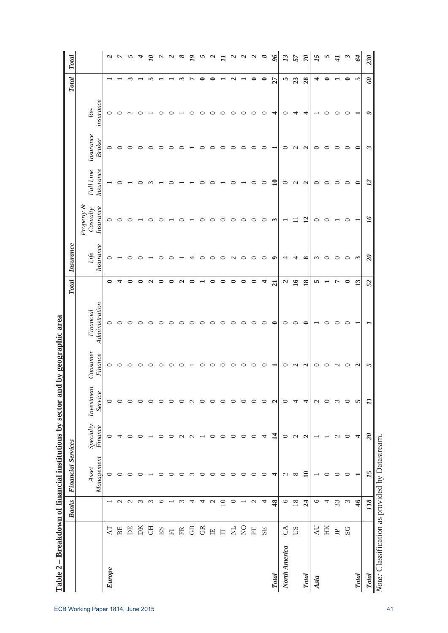|                                                 |                          | <b>Banks</b>             | <b>Financial Services</b> |                             |                       |                     |                             | <b>Total</b>    | <b>Insurance</b>         |                                     |                        |                            |                    | <b>Total</b>  | <b>Total</b>             |
|-------------------------------------------------|--------------------------|--------------------------|---------------------------|-----------------------------|-----------------------|---------------------|-----------------------------|-----------------|--------------------------|-------------------------------------|------------------------|----------------------------|--------------------|---------------|--------------------------|
|                                                 |                          |                          | Management<br>Asset       | Specialty<br><b>Finance</b> | Investment<br>Service | Consumer<br>Finance | Administration<br>Financial |                 | Insurance<br>Life        | Property &<br>Insurance<br>Casualty | Full Line<br>Insurance | Insurance<br><b>Broker</b> | insurance<br>$Re-$ |               |                          |
| <b>Europe</b>                                   | AT                       | $\overline{\phantom{0}}$ | $\circ$                   | $\circ$                     | $\circ$               | $\circ$             | 0                           | ◒               | 0                        | $\circ$                             |                        | $\circ$                    | 0                  |               |                          |
|                                                 | BE                       | $\sim$                   | $\circ$                   | 4                           | $\circ$               | $\circ$             | 0                           |                 |                          | ○                                   |                        | $\circ$                    | $\circ$            |               | $\sim$ $\sim$            |
|                                                 | E                        | $\sim$                   | $\circ$                   | 0                           | 0                     | ⊂                   | ⊂                           |                 | ⊂                        | ⊂                                   |                        | ○                          | $\mathbf{\sim}$    |               | S                        |
|                                                 | DK                       | ് ന                      | ○                         | ○                           | $\circ$               |                     |                             |                 |                          |                                     |                        | ○                          | ⊂                  |               |                          |
|                                                 | FO                       | $\omega$                 |                           |                             | $\circ$               | ⊂                   | ⊂                           |                 |                          |                                     |                        | ⊂                          |                    | m             | $\overline{\mathcal{U}}$ |
|                                                 | $\mathbb{E} \mathbf{S}$  | $\circ$                  | $\circ$                   | ∊                           | $\circ$               | c                   |                             | ∊               |                          |                                     |                        | ⊂                          | ⊂                  |               |                          |
|                                                 | $\overline{\mathbb{H}}$  | $\overline{\phantom{0}}$ | ᅌ                         | $\circ$                     | $\circ$               | ○                   |                             |                 |                          |                                     |                        | ○                          | ⊂                  |               |                          |
|                                                 | 臣                        | $\omega$                 | $\circ$                   | $\mathbf{\sim}$             | 0                     |                     |                             | $\mathbf{a}$    |                          |                                     |                        | ⊂                          |                    |               | $\infty$                 |
|                                                 | GB                       | 4                        | $\omega$                  | $\mathbf{\sim}$             | $\mathbf{C}$          |                     |                             | ∞               |                          |                                     |                        |                            | ⊂                  |               | $\overline{I}$           |
|                                                 | GR                       | $\overline{a}$           | $\circ$                   |                             | 0                     | ⊂                   |                             |                 | ○                        |                                     |                        | ⊂                          | ○                  |               | n                        |
|                                                 | $\mathbb{H}%$            | $\mathcal{L}$            | $\circ$                   | 0                           | $\circ$               | ⊂                   | 0                           | $\bullet$       | ○                        | 0                                   |                        | ○                          | ○                  |               | $\mathbf{\mathcal{L}}$   |
|                                                 | $\Box$                   | $\overline{10}$          | $\circ$                   | $\circ$                     | $\circ$               | ⊂                   | ⊂                           | $\bullet$       | $\circ$                  | $\circ$                             |                        | ⊂                          | ⊂                  |               |                          |
|                                                 | <b>Z</b>                 | $\circ$                  | $\circ$                   | $\circ$                     | $\circ$               | ○                   | ⊂                           | $\bullet$       | $\sim$                   | 0                                   |                        | ○                          | ○                  | $\mathbf{c}$  | $\overline{\mathcal{L}}$ |
|                                                 | $\widetilde{\mathsf{z}}$ | $\overline{\phantom{a}}$ | $\circ$                   | $\circ$                     | $\circ$               | ○                   | 0                           | $\bullet$       | $\circ$                  | $\circ$                             |                        | $\circ$                    | $\circ$            |               | $\boldsymbol{\omega}$    |
|                                                 | F                        | $\mathcal{L}$            | $\circ$                   | $\circ$                     | $\circ$               | $\circ$             | ○                           | $\bullet$       | $\circ$                  | $\circ$                             | $\circ$                | $\circ$                    | $\circ$            | $\bullet$     | $\overline{\mathcal{L}}$ |
|                                                 | SE                       | $\overline{4}$           | $\circ$                   | 4                           | $\circ$               | $\circ$             | ⊂                           | ₹               | $\circ$                  | $\circ$                             | ∊                      | $\circ$                    | $\circ$            | $\bullet$     | $^{\circ}$               |
| $\_Total$                                       |                          | 48                       | 4                         | $\mathbf{14}$               | $\mathbf{\mathbf{a}}$ | $\blacksquare$      | $\bullet$                   | $\overline{21}$ | $\bullet$                | $\mathbf{\tilde{5}}$                | $\mathbf{10}$          | $\blacksquare$             | 4                  | 27            | $\frac{96}{2}$           |
| North America                                   | $\mathcal{L}$            | $\circ$                  | $\mathcal{L}$             | $\circ$                     | 0                     | $\circ$             | 0                           | $\mathbf{a}$    | 4                        |                                     | 0                      | $\circ$                    | $\circ$            | S             | 13                       |
|                                                 | SU                       | $18\,$                   | $\infty$                  | $\mathbf{C}$                | 4                     | $\sim$              | ○                           | $\overline{16}$ | 4                        | $\Box$                              | $\mathbf{C}$           | $\sim$                     | 4                  | 23            | 57                       |
| <b>Total</b>                                    |                          | $\overline{a}$           | $\overline{10}$           | $\mathbf{\Omega}$           | 4                     | $\mathbf{\Omega}$   | 0                           | 18              | $\infty$                 | 12                                  | $\mathbf{\Omega}$      | $\mathbf{\Omega}$          | 4                  | 28            | $\approx$                |
| Asia                                            | <b>AU</b>                | $\circ$                  |                           |                             | $\mathcal{L}$         | $\circ$             |                             | w               | $\omega$                 | $\circ$                             | $\circ$                | $\circ$                    |                    | 4             | 15                       |
|                                                 | HK                       | 4                        | $\circ$                   |                             | $\circ$               | ○                   | ⊂                           |                 | $\circ$                  | 0                                   | 0                      | 0                          | 0                  | ◒             | ∽                        |
|                                                 | $\mathbb{B}$             | 33                       | $\circ$                   | $\mathcal{C}$               | $\tilde{c}$           | $\mathcal{L}$       | 0                           | Ļ               | $\circ$                  |                                     | $\circ$                | 0                          | 0                  |               | $\ddot{t}$               |
|                                                 | SG                       | $\omega$                 | $\circ$                   | $\circ$                     | $\circ$               | $\circ$             | 0                           | 0               | $\circ$                  | $\circ$                             | 0                      | $\circ$                    | 0                  | ◒             | $\tilde{\phantom{a}}$    |
| <b>Total</b>                                    |                          | 46                       | $\overline{\phantom{0}}$  | 4                           | m                     | $\sim$              |                             | 13              | $\sim$                   | $\blacksquare$                      | $\bullet$              | $\bullet$                  |                    | In            | $\mathcal{L}$            |
| <b>Total</b>                                    |                          | 118                      | 15                        | $\overline{\mathcal{U}}$    | 11                    | $\sim$              |                             | 52              | $\overline{\mathcal{L}}$ | $\tilde{q}$                         | $\overline{12}$        | $\omega$                   | $\bullet$          | $\mathcal{O}$ | 230                      |
| Note: Classification as provided by Datastream. |                          |                          |                           |                             |                       |                     |                             |                 |                          |                                     |                        |                            |                    |               |                          |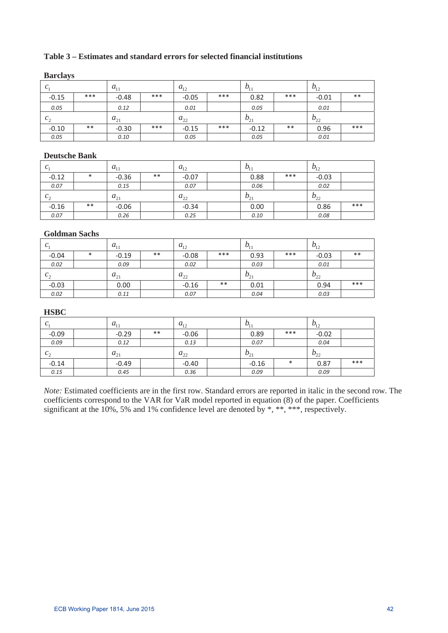## **Table 3 – Estimates and standard errors for selected financial institutions**

| $20.41$ $0.44$ , $0$ |       |          |     |          |       |          |       |          |       |
|----------------------|-------|----------|-----|----------|-------|----------|-------|----------|-------|
| $C_1$                |       | $a_{11}$ |     | $a_{12}$ |       | $D_{11}$ |       | $v_{12}$ |       |
| $-0.15$              | ***   | $-0.48$  | *** | $-0.05$  | ***   | 0.82     | ***   | $-0.01$  | $***$ |
| 0.05                 |       | 0.12     |     | 0.01     |       | 0.05     |       | 0.01     |       |
| $c_{\gamma}$         |       | $a_{21}$ |     | $a_{22}$ |       | $b_{21}$ |       | $b_{22}$ |       |
| $-0.10$              | $***$ | $-0.30$  | *** | $-0.15$  | $***$ | $-0.12$  | $***$ | 0.96     | ***   |
| 0.05                 |       | 0.10     |     | 0.05     |       | 0.05     |       | 0.01     |       |

## **Barclays**

## **Deutsche Bank**

| C <sub>1</sub> |        | $a_{11}$ |       | $a_{12}$ | $b_{11}$ |     | $b_{12}$ |     |
|----------------|--------|----------|-------|----------|----------|-----|----------|-----|
| $-0.12$        | $\ast$ | $-0.36$  | $***$ | $-0.07$  | 0.88     | *** | $-0.03$  |     |
| 0.07           |        | 0.15     |       | 0.07     | 0.06     |     | 0.02     |     |
| $c_{\gamma}$   |        | $a_{21}$ |       | $a_{22}$ | $b_{21}$ |     | $b_{22}$ |     |
| $-0.16$        | $***$  | $-0.06$  |       | $-0.34$  | 0.00     |     | 0.86     | *** |
| 0.07           |        | 0.26     |       | 0.25     | 0.10     |     | 0.08     |     |

### **Goldman Sachs**

| C <sub>1</sub> |        | $a_{11}$ |       | $a_{12}$ |       | $b_{11}$ |     | $b_{12}$ |       |
|----------------|--------|----------|-------|----------|-------|----------|-----|----------|-------|
| $-0.04$        | $\ast$ | $-0.19$  | $***$ | $-0.08$  | ***   | 0.93     | *** | $-0.03$  | $***$ |
| 0.02           |        | 0.09     |       | 0.02     |       | 0.03     |     | 0.01     |       |
| $c_{\gamma}$   |        | $a_{21}$ |       | $a_{22}$ |       | $b_{21}$ |     | $b_{22}$ |       |
| $-0.03$        |        | 0.00     |       | $-0.16$  | $***$ | 0.01     |     | 0.94     | ***   |
| 0.02           |        | 0.11     |       | 0.07     |       | 0.04     |     | 0.03     |       |

### **HSBC**

| C <sub>1</sub> | $a_{11}$ |       | $a_{12}$ | $b_{11}$ |        | $b_{12}$           |     |
|----------------|----------|-------|----------|----------|--------|--------------------|-----|
| $-0.09$        | $-0.29$  | $***$ | $-0.06$  | 0.89     | $***$  | $-0.02$            |     |
| 0.09           | 0.12     |       | 0.13     | 0.07     |        | 0.04               |     |
| $c_{\gamma}$   | $a_{21}$ |       | $a_{22}$ | $b_{21}$ |        | $v_{\gamma}$<br>∠∠ |     |
| $-0.14$        | $-0.49$  |       | $-0.40$  | $-0.16$  | $\ast$ | 0.87               | *** |
| 0.15           | 0.45     |       | 0.36     | 0.09     |        | 0.09               |     |

*Note:* Estimated coefficients are in the first row. Standard errors are reported in italic in the second row. The coefficients correspond to the VAR for VaR model reported in equation (8) of the paper. Coefficients significant at the 10%, 5% and 1% confidence level are denoted by \*, \*\*, \*\*\*, respectively.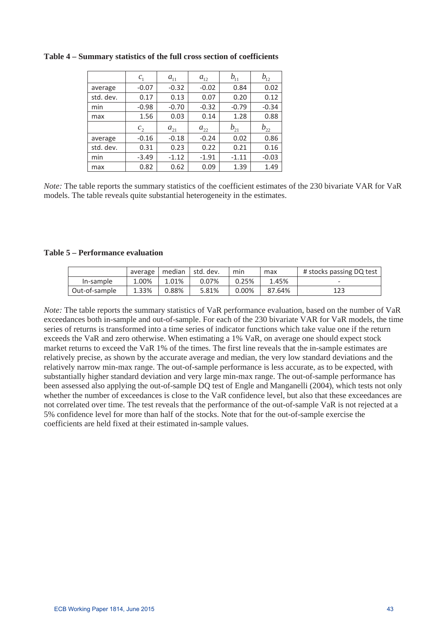|           | $c_{1}$        | $a_{11}$ | $a_{12}$ | $b_{11}$ | $b_{12}$ |
|-----------|----------------|----------|----------|----------|----------|
| average   | $-0.07$        | $-0.32$  | $-0.02$  | 0.84     | 0.02     |
| std. dev. | 0.17           | 0.13     | 0.07     | 0.20     | 0.12     |
| min       | $-0.98$        | $-0.70$  | $-0.32$  | $-0.79$  | $-0.34$  |
| max       | 1.56           | 0.03     | 0.14     | 1.28     | 0.88     |
|           | c <sub>2</sub> | $a_{21}$ | $a_{22}$ | $b_{21}$ | $b_{22}$ |
| average   | $-0.16$        | $-0.18$  | $-0.24$  | 0.02     | 0.86     |
| std. dev. |                |          |          |          |          |
|           | 0.31           | 0.23     | 0.22     | 0.21     | 0.16     |
| min       | $-3.49$        | $-1.12$  | $-1.91$  | $-1.11$  | $-0.03$  |

**Table 4 – Summary statistics of the full cross section of coefficients** 

*Note:* The table reports the summary statistics of the coefficient estimates of the 230 bivariate VAR for VaR models. The table reveals quite substantial heterogeneity in the estimates.

### **Table 5 – Performance evaluation**

|               | average   median   std. dev. |       |       | min   | max    | # stocks passing DQ test |
|---------------|------------------------------|-------|-------|-------|--------|--------------------------|
| In-sample     | 1.00%                        | 1.01% | 0.07% | 0.25% | 1.45%  |                          |
| Out-of-sample | 1.33%                        | 0.88% | 5.81% | 0.00% | 87.64% | 123                      |

*Note:* The table reports the summary statistics of VaR performance evaluation, based on the number of VaR exceedances both in-sample and out-of-sample. For each of the 230 bivariate VAR for VaR models, the time series of returns is transformed into a time series of indicator functions which take value one if the return exceeds the VaR and zero otherwise. When estimating a 1% VaR, on average one should expect stock market returns to exceed the VaR 1% of the times. The first line reveals that the in-sample estimates are relatively precise, as shown by the accurate average and median, the very low standard deviations and the relatively narrow min-max range. The out-of-sample performance is less accurate, as to be expected, with substantially higher standard deviation and very large min-max range. The out-of-sample performance has been assessed also applying the out-of-sample DQ test of Engle and Manganelli (2004), which tests not only whether the number of exceedances is close to the VaR confidence level, but also that these exceedances are not correlated over time. The test reveals that the performance of the out-of-sample VaR is not rejected at a 5% confidence level for more than half of the stocks. Note that for the out-of-sample exercise the coefficients are held fixed at their estimated in-sample values.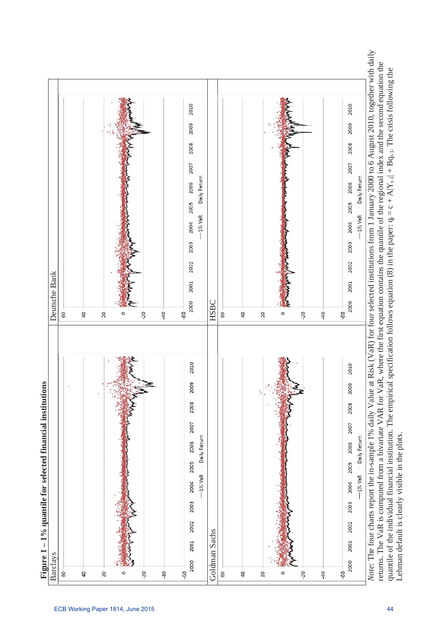

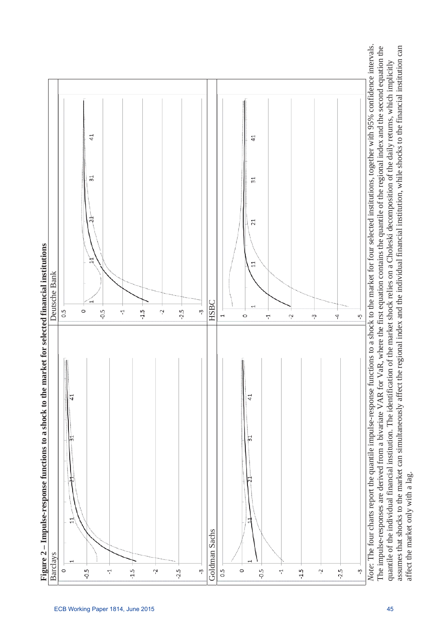



affect the market only with a lag.

affect the market only with a lag.

quantile of the individual financial institution. The identification of the market shock relies on a Choleski decomposition of the daily returns, which implicitly assumes that shocks to the market can simultaneously affect the regional index and the individual financial institution, while shocks to the financial institution can

quantile of the individual financial institution. The identification of the market shock relies on a Choleski decomposition of the daily returns, which implicitly

assumes that shocks to the market can simultaneously affect the regional index and the individual financial institution, while shocks to the financial institution can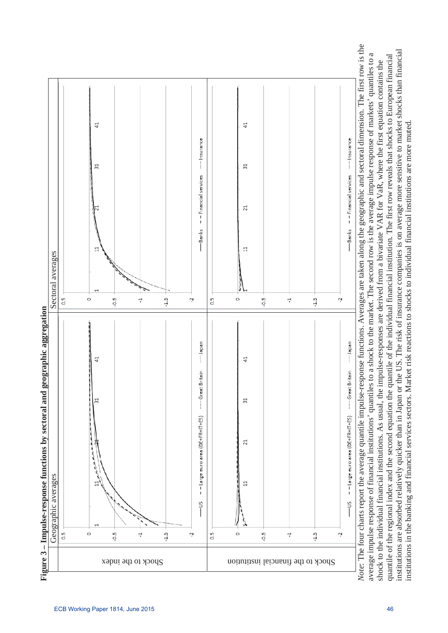

*Note*: The four charts report the average quantile impulse-response functions. Averages are taken along the geographic and sectoral dimension. The first row is the Note: The four charts report the average quantile impulse-response functions. Averages are taken along the geographic and sectoral dimension. The first row is the institutions are absorbed relatively quicker than in Japan or the US. The risk of insurance companies is on average more sensitive to market shocks than financial institutions are absorbed relatively quicker than in Japan or the US. The risk of insurance companies is on average more sensitive to market shocks than financial<br>institutions in the banking and financial services sectors. average impulse response of financial institutions' quantiles to a shock to the market. The second row is the average impulse response of markets' quantiles to a average impulse response of financial institutions' quantiles to a shock to the market. The second row is the average impulse response of markets' quantiles to a quantile of the regional index and the second equation the quantile of the individual financial institution. The first row reveals that shocks to European financial quantile of the regional index and the second equation the quantile of the individual financial institution. The first row reveals that shocks to European financial shock to the individual financial institutions. As usual, the impulse-responses are derived from a bivariate VAR for VaR, where the first equation contains the shock to the individual financial institutions. As usual, the impulse-responses are derived from a bivariate VAR for VaR, where the first equation contains the institutions in the banking and financial services sectors. Market risk reactions to shocks to individual financial institutions are more muted.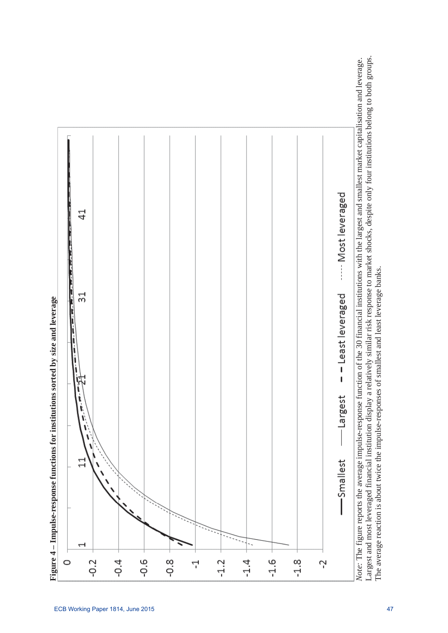

Figure 4 - Impulse-response functions for institutions sorted by size and leverage

Largest and most leveraged financial institution display a relatively similar risk response to market shocks, despite only four institutions belong to both groups.

Largest and most leveraged financial institution display a relatively similar risk response to market shocks, despite only four institutions belong to both groups.

The average reaction is about twice the impulse-responses of smallest and least leverage banks.

The average reaction is about twice the impulse-responses of smallest and least leverage banks.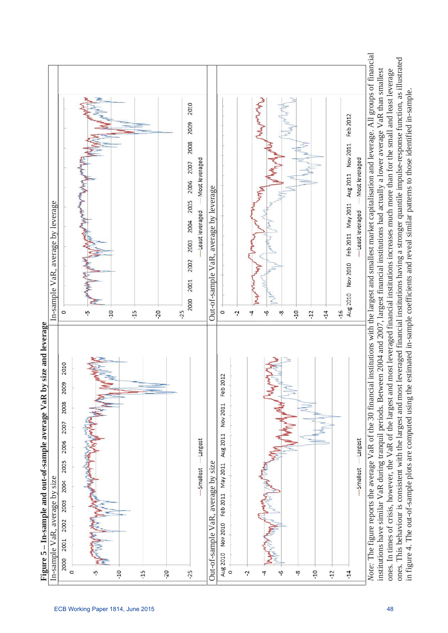



in figure 4. The out-of-sample plots are computed using the estimated in-sample coefficients and reveal similar patterns to those identified in-sample.

in figure 4. The out-of-sample plots are computed using the estimated in-sample coefficients and reveal similar patterns to those identified in-sample.